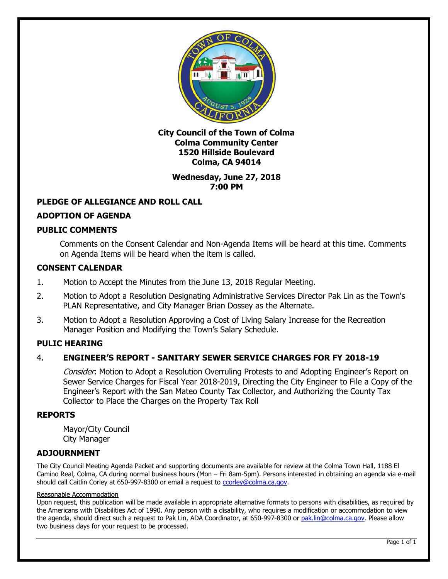

**City Council of the Town of Colma Colma Community Center 1520 Hillside Boulevard Colma, CA 94014**

# **Wednesday, June 27, 2018 7:00 PM**

# **PLEDGE OF ALLEGIANCE AND ROLL CALL**

# **ADOPTION OF AGENDA**

## **PUBLIC COMMENTS**

Comments on the Consent Calendar and Non-Agenda Items will be heard at this time. Comments on Agenda Items will be heard when the item is called.

#### **CONSENT CALENDAR**

- 1. Motion to Accept the Minutes from the June 13, 2018 Regular Meeting.
- 2. Motion to Adopt a Resolution Designating Administrative Services Director Pak Lin as the Town's PLAN Representative, and City Manager Brian Dossey as the Alternate.
- 3. Motion to Adopt a Resolution Approving a Cost of Living Salary Increase for the Recreation Manager Position and Modifying the Town's Salary Schedule.

## **PULIC HEARING**

# 4. **ENGINEER'S REPORT - SANITARY SEWER SERVICE CHARGES FOR FY 2018-19**

Consider: Motion to Adopt a Resolution Overruling Protests to and Adopting Engineer's Report on Sewer Service Charges for Fiscal Year 2018-2019, Directing the City Engineer to File a Copy of the Engineer's Report with the San Mateo County Tax Collector, and Authorizing the County Tax Collector to Place the Charges on the Property Tax Roll

### **REPORTS**

Mayor/City Council City Manager

### **ADJOURNMENT**

The City Council Meeting Agenda Packet and supporting documents are available for review at the Colma Town Hall, 1188 El Camino Real, Colma, CA during normal business hours (Mon – Fri 8am-5pm). Persons interested in obtaining an agenda via e-mail should call Caitlin Corley at 650-997-8300 or email a request to [ccorley@colma.ca.gov.](mailto:ccorley@colma.ca.gov)

#### Reasonable Accommodation

Upon request, this publication will be made available in appropriate alternative formats to persons with disabilities, as required by the Americans with Disabilities Act of 1990. Any person with a disability, who requires a modification or accommodation to view the agenda, should direct such a request to Pak Lin, ADA Coordinator, at 650-997-8300 or [pak.lin@colma.ca.gov.](mailto:pak.lin@colma.ca.gov) Please allow two business days for your request to be processed.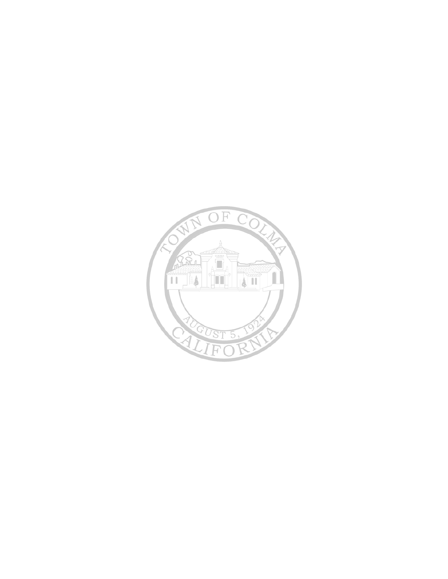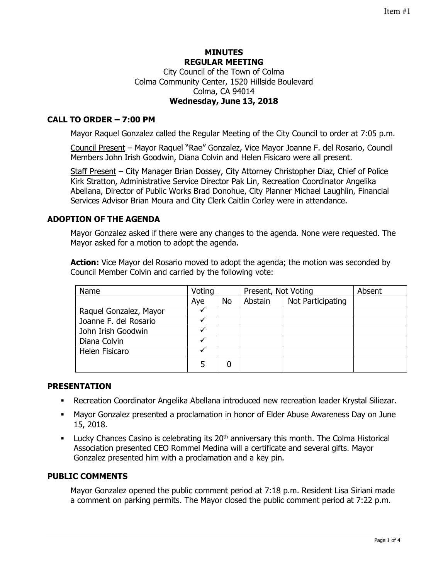## **MINUTES REGULAR MEETING** City Council of the Town of Colma Colma Community Center, 1520 Hillside Boulevard Colma, CA 94014 **Wednesday, June 13, 2018**

# **CALL TO ORDER – 7:00 PM**

Mayor Raquel Gonzalez called the Regular Meeting of the City Council to order at 7:05 p.m.

Council Present – Mayor Raquel "Rae" Gonzalez, Vice Mayor Joanne F. del Rosario, Council Members John Irish Goodwin, Diana Colvin and Helen Fisicaro were all present.

Staff Present – City Manager Brian Dossey, City Attorney Christopher Diaz, Chief of Police Kirk Stratton, Administrative Service Director Pak Lin, Recreation Coordinator Angelika Abellana, Director of Public Works Brad Donohue, City Planner Michael Laughlin, Financial Services Advisor Brian Moura and City Clerk Caitlin Corley were in attendance.

### **ADOPTION OF THE AGENDA**

Mayor Gonzalez asked if there were any changes to the agenda. None were requested. The Mayor asked for a motion to adopt the agenda.

**Action:** Vice Mayor del Rosario moved to adopt the agenda; the motion was seconded by Council Member Colvin and carried by the following vote:

| Name                   | Voting |           | Present, Not Voting | Absent            |  |
|------------------------|--------|-----------|---------------------|-------------------|--|
|                        | Aye    | <b>No</b> | Abstain             | Not Participating |  |
| Raquel Gonzalez, Mayor |        |           |                     |                   |  |
| Joanne F. del Rosario  |        |           |                     |                   |  |
| John Irish Goodwin     |        |           |                     |                   |  |
| Diana Colvin           |        |           |                     |                   |  |
| Helen Fisicaro         |        |           |                     |                   |  |
|                        |        | 0         |                     |                   |  |

### **PRESENTATION**

- **Recreation Coordinator Angelika Abellana introduced new recreation leader Krystal Siliezar.**
- **■** Mayor Gonzalez presented a proclamation in honor of Elder Abuse Awareness Day on June 15, 2018.
- Lucky Chances Casino is celebrating its 20<sup>th</sup> anniversary this month. The Colma Historical Association presented CEO Rommel Medina will a certificate and several gifts. Mayor Gonzalez presented him with a proclamation and a key pin.

## **PUBLIC COMMENTS**

Mayor Gonzalez opened the public comment period at 7:18 p.m. Resident Lisa Siriani made a comment on parking permits. The Mayor closed the public comment period at 7:22 p.m.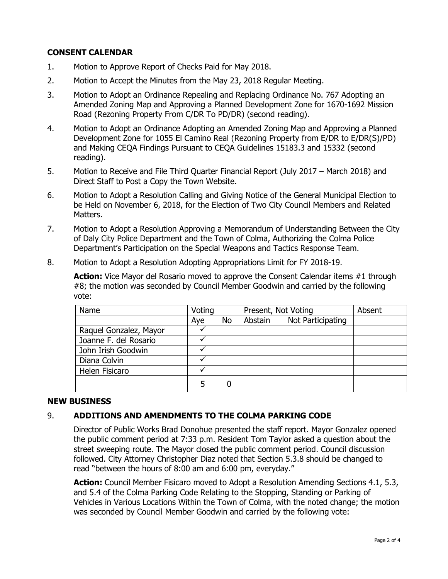# **CONSENT CALENDAR**

- 1. Motion to Approve Report of Checks Paid for May 2018.
- 2. Motion to Accept the Minutes from the May 23, 2018 Regular Meeting.
- 3. Motion to Adopt an Ordinance Repealing and Replacing Ordinance No. 767 Adopting an Amended Zoning Map and Approving a Planned Development Zone for 1670-1692 Mission Road (Rezoning Property From C/DR To PD/DR) (second reading).
- 4. Motion to Adopt an Ordinance Adopting an Amended Zoning Map and Approving a Planned Development Zone for 1055 El Camino Real (Rezoning Property from E/DR to E/DR(S)/PD) and Making CEQA Findings Pursuant to CEQA Guidelines 15183.3 and 15332 (second reading).
- 5. Motion to Receive and File Third Quarter Financial Report (July 2017 March 2018) and Direct Staff to Post a Copy the Town Website.
- 6. Motion to Adopt a Resolution Calling and Giving Notice of the General Municipal Election to be Held on November 6, 2018, for the Election of Two City Council Members and Related Matters.
- 7. Motion to Adopt a Resolution Approving a Memorandum of Understanding Between the City of Daly City Police Department and the Town of Colma, Authorizing the Colma Police Department's Participation on the Special Weapons and Tactics Response Team.
- 8. Motion to Adopt a Resolution Adopting Appropriations Limit for FY 2018-19.

**Action:** Vice Mayor del Rosario moved to approve the Consent Calendar items #1 through #8; the motion was seconded by Council Member Goodwin and carried by the following vote:

| Name                   | Voting |    | Present, Not Voting | Absent            |  |
|------------------------|--------|----|---------------------|-------------------|--|
|                        | Aye    | No | Abstain             | Not Participating |  |
| Raquel Gonzalez, Mayor |        |    |                     |                   |  |
| Joanne F. del Rosario  |        |    |                     |                   |  |
| John Irish Goodwin     |        |    |                     |                   |  |
| Diana Colvin           |        |    |                     |                   |  |
| Helen Fisicaro         |        |    |                     |                   |  |
|                        |        | 0  |                     |                   |  |

### **NEW BUSINESS**

# 9. **ADDITIONS AND AMENDMENTS TO THE COLMA PARKING CODE**

Director of Public Works Brad Donohue presented the staff report. Mayor Gonzalez opened the public comment period at 7:33 p.m. Resident Tom Taylor asked a question about the street sweeping route. The Mayor closed the public comment period. Council discussion followed. City Attorney Christopher Diaz noted that Section 5.3.8 should be changed to read "between the hours of 8:00 am and 6:00 pm, everyday."

**Action:** Council Member Fisicaro moved to Adopt a Resolution Amending Sections 4.1, 5.3, and 5.4 of the Colma Parking Code Relating to the Stopping, Standing or Parking of Vehicles in Various Locations Within the Town of Colma, with the noted change; the motion was seconded by Council Member Goodwin and carried by the following vote: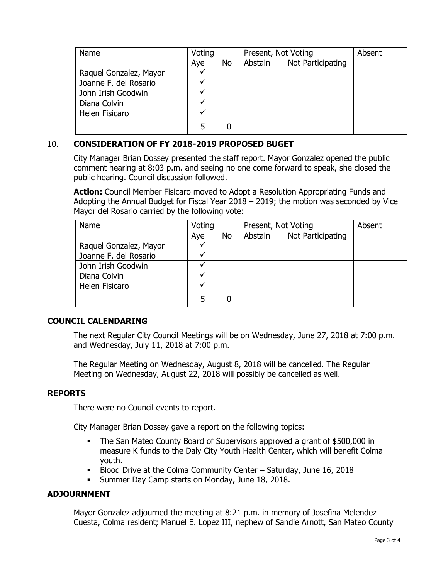| Name                   | Voting |           | Present, Not Voting | Absent            |  |
|------------------------|--------|-----------|---------------------|-------------------|--|
|                        | Aye    | <b>No</b> | Abstain             | Not Participating |  |
| Raquel Gonzalez, Mayor |        |           |                     |                   |  |
| Joanne F. del Rosario  |        |           |                     |                   |  |
| John Irish Goodwin     |        |           |                     |                   |  |
| Diana Colvin           |        |           |                     |                   |  |
| Helen Fisicaro         |        |           |                     |                   |  |
|                        | 5      |           |                     |                   |  |

# 10. **CONSIDERATION OF FY 2018-2019 PROPOSED BUGET**

City Manager Brian Dossey presented the staff report. Mayor Gonzalez opened the public comment hearing at 8:03 p.m. and seeing no one come forward to speak, she closed the public hearing. Council discussion followed.

**Action:** Council Member Fisicaro moved to Adopt a Resolution Appropriating Funds and Adopting the Annual Budget for Fiscal Year 2018 – 2019; the motion was seconded by Vice Mayor del Rosario carried by the following vote:

| Name                   | Voting<br>Present, Not Voting |           | Absent  |                   |  |
|------------------------|-------------------------------|-----------|---------|-------------------|--|
|                        | Aye                           | <b>No</b> | Abstain | Not Participating |  |
| Raquel Gonzalez, Mayor |                               |           |         |                   |  |
| Joanne F. del Rosario  |                               |           |         |                   |  |
| John Irish Goodwin     |                               |           |         |                   |  |
| Diana Colvin           |                               |           |         |                   |  |
| Helen Fisicaro         |                               |           |         |                   |  |
|                        |                               | 0         |         |                   |  |

### **COUNCIL CALENDARING**

The next Regular City Council Meetings will be on Wednesday, June 27, 2018 at 7:00 p.m. and Wednesday, July 11, 2018 at 7:00 p.m.

The Regular Meeting on Wednesday, August 8, 2018 will be cancelled. The Regular Meeting on Wednesday, August 22, 2018 will possibly be cancelled as well.

### **REPORTS**

There were no Council events to report.

City Manager Brian Dossey gave a report on the following topics:

- The San Mateo County Board of Supervisors approved a grant of \$500,000 in measure K funds to the Daly City Youth Health Center, which will benefit Colma youth.
- Blood Drive at the Colma Community Center Saturday, June 16, 2018
- Summer Day Camp starts on Monday, June 18, 2018.

### **ADJOURNMENT**

Mayor Gonzalez adjourned the meeting at 8:21 p.m. in memory of Josefina Melendez Cuesta, Colma resident; Manuel E. Lopez III, nephew of Sandie Arnott, San Mateo County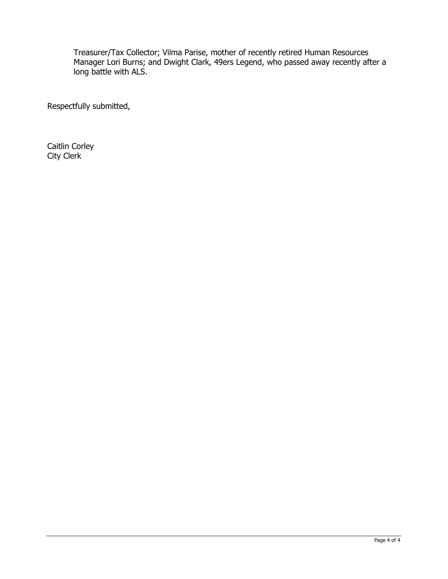Treasurer/Tax Collector; Vilma Parise, mother of recently retired Human Resources Manager Lori Burns; and Dwight Clark, 49ers Legend, who passed away recently after a long battle with ALS.

Respectfully submitted,

Caitlin Corley City Clerk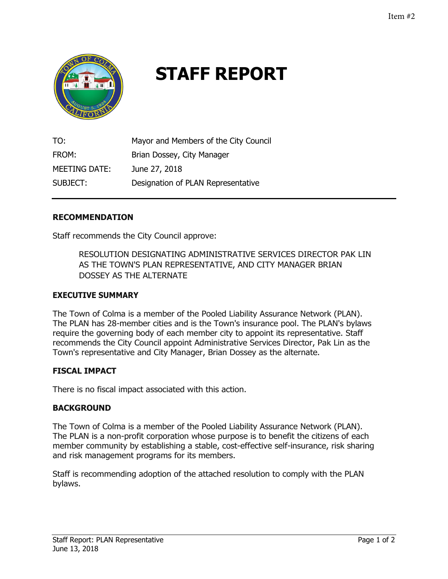

# **STAFF REPORT**

| TO:           | Mayor and Members of the City Council |
|---------------|---------------------------------------|
| FROM:         | Brian Dossey, City Manager            |
| MEETING DATE: | June 27, 2018                         |
| SUBJECT:      | Designation of PLAN Representative    |

# **RECOMMENDATION**

Staff recommends the City Council approve:

RESOLUTION DESIGNATING ADMINISTRATIVE SERVICES DIRECTOR PAK LIN AS THE TOWN'S PLAN REPRESENTATIVE, AND CITY MANAGER BRIAN DOSSEY AS THE ALTERNATE

### **EXECUTIVE SUMMARY**

The Town of Colma is a member of the Pooled Liability Assurance Network (PLAN). The PLAN has 28-member cities and is the Town's insurance pool. The PLAN's bylaws require the governing body of each member city to appoint its representative. Staff recommends the City Council appoint Administrative Services Director, Pak Lin as the Town's representative and City Manager, Brian Dossey as the alternate.

### **FISCAL IMPACT**

There is no fiscal impact associated with this action.

### **BACKGROUND**

The Town of Colma is a member of the Pooled Liability Assurance Network (PLAN). The PLAN is a non-profit corporation whose purpose is to benefit the citizens of each member community by establishing a stable, cost-effective self-insurance, risk sharing and risk management programs for its members.

Staff is recommending adoption of the attached resolution to comply with the PLAN bylaws.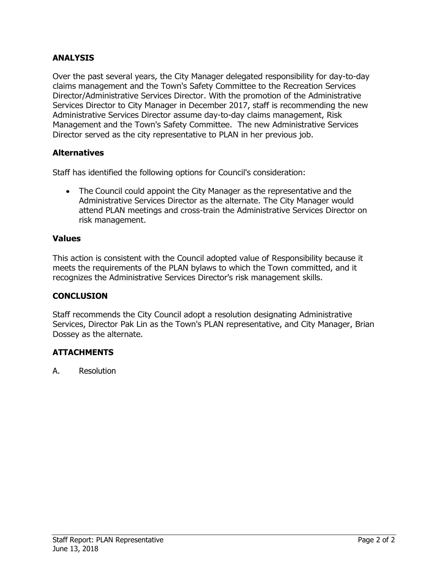# **ANALYSIS**

Over the past several years, the City Manager delegated responsibility for day-to-day claims management and the Town's Safety Committee to the Recreation Services Director/Administrative Services Director. With the promotion of the Administrative Services Director to City Manager in December 2017, staff is recommending the new Administrative Services Director assume day-to-day claims management, Risk Management and the Town's Safety Committee. The new Administrative Services Director served as the city representative to PLAN in her previous job.

# **Alternatives**

Staff has identified the following options for Council's consideration:

• The Council could appoint the City Manager as the representative and the Administrative Services Director as the alternate. The City Manager would attend PLAN meetings and cross-train the Administrative Services Director on risk management.

## **Values**

This action is consistent with the Council adopted value of Responsibility because it meets the requirements of the PLAN bylaws to which the Town committed, and it recognizes the Administrative Services Director's risk management skills.

# **CONCLUSION**

Staff recommends the City Council adopt a resolution designating Administrative Services, Director Pak Lin as the Town's PLAN representative, and City Manager, Brian Dossey as the alternate.

# **ATTACHMENTS**

A. Resolution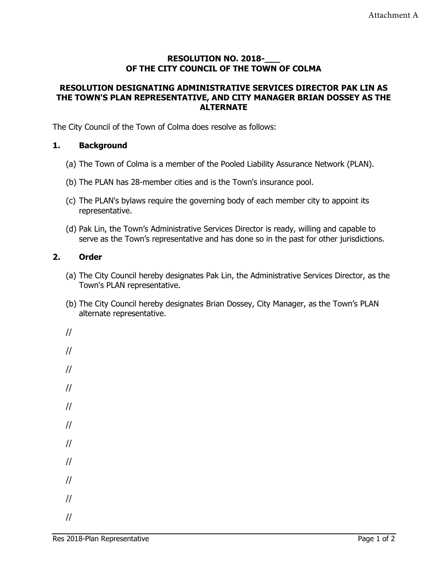## **RESOLUTION NO. 2018-\_\_\_ OF THE CITY COUNCIL OF THE TOWN OF COLMA**

### **RESOLUTION DESIGNATING ADMINISTRATIVE SERVICES DIRECTOR PAK LIN AS THE TOWN'S PLAN REPRESENTATIVE, AND CITY MANAGER BRIAN DOSSEY AS THE ALTERNATE**

The City Council of the Town of Colma does resolve as follows:

## **1. Background**

- (a) The Town of Colma is a member of the Pooled Liability Assurance Network (PLAN).
- (b) The PLAN has 28-member cities and is the Town's insurance pool.
- (c) The PLAN's bylaws require the governing body of each member city to appoint its representative.
- (d) Pak Lin, the Town's Administrative Services Director is ready, willing and capable to serve as the Town's representative and has done so in the past for other jurisdictions.

# **2. Order**

- (a) The City Council hereby designates Pak Lin, the Administrative Services Director, as the Town's PLAN representative.
- (b) The City Council hereby designates Brian Dossey, City Manager, as the Town's PLAN alternate representative.
- // // // // // // // // // // //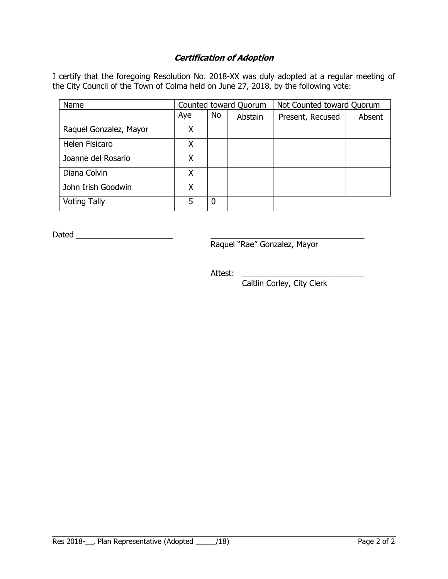# **Certification of Adoption**

I certify that the foregoing Resolution No. 2018-XX was duly adopted at a regular meeting of the City Council of the Town of Colma held on June 27, 2018, by the following vote:

| Name                   | Counted toward Quorum |           |         | Not Counted toward Quorum |        |  |
|------------------------|-----------------------|-----------|---------|---------------------------|--------|--|
|                        | Aye                   | <b>No</b> | Abstain | Present, Recused          | Absent |  |
| Raquel Gonzalez, Mayor | χ                     |           |         |                           |        |  |
| Helen Fisicaro         | x                     |           |         |                           |        |  |
| Joanne del Rosario     | Χ                     |           |         |                           |        |  |
| Diana Colvin           | x                     |           |         |                           |        |  |
| John Irish Goodwin     | Χ                     |           |         |                           |        |  |
| <b>Voting Tally</b>    | 5                     | 0         |         |                           |        |  |

Dated \_\_\_\_\_\_\_\_\_\_\_\_\_\_\_\_\_\_\_\_\_\_ \_\_\_\_\_\_\_\_\_\_\_\_\_\_\_\_\_\_\_\_\_\_\_\_\_\_\_\_\_\_\_\_\_\_\_

Raquel "Rae" Gonzalez, Mayor

Attest: \_\_\_\_\_\_\_\_\_\_\_\_\_\_\_\_\_\_\_\_\_\_\_\_\_\_\_\_

Caitlin Corley, City Clerk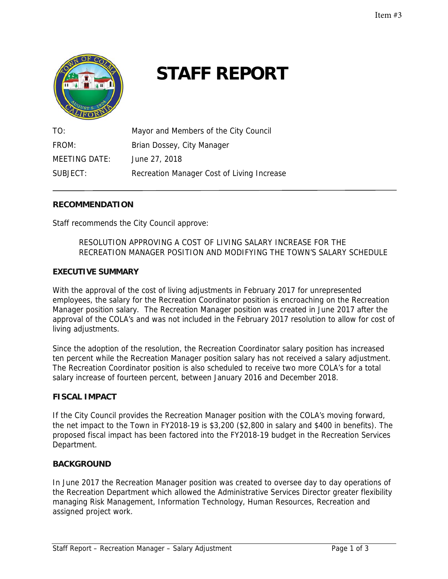

# **STAFF REPORT**

| TO:           | Mayor and Members of the City Council      |
|---------------|--------------------------------------------|
| FROM:         | Brian Dossey, City Manager                 |
| MEETING DATE: | June 27, 2018                              |
| SUBJECT:      | Recreation Manager Cost of Living Increase |

# **RECOMMENDATION**

Staff recommends the City Council approve:

RESOLUTION APPROVING A COST OF LIVING SALARY INCREASE FOR THE RECREATION MANAGER POSITION AND MODIFYING THE TOWN'S SALARY SCHEDULE

### **EXECUTIVE SUMMARY**

With the approval of the cost of living adjustments in February 2017 for unrepresented employees, the salary for the Recreation Coordinator position is encroaching on the Recreation Manager position salary. The Recreation Manager position was created in June 2017 after the approval of the COLA's and was not included in the February 2017 resolution to allow for cost of living adjustments.

Since the adoption of the resolution, the Recreation Coordinator salary position has increased ten percent while the Recreation Manager position salary has not received a salary adjustment. The Recreation Coordinator position is also scheduled to receive two more COLA's for a total salary increase of fourteen percent, between January 2016 and December 2018.

### **FISCAL IMPACT**

If the City Council provides the Recreation Manager position with the COLA's moving forward, the net impact to the Town in FY2018-19 is \$3,200 (\$2,800 in salary and \$400 in benefits). The proposed fiscal impact has been factored into the FY2018-19 budget in the Recreation Services Department.

### **BACKGROUND**

In June 2017 the Recreation Manager position was created to oversee day to day operations of the Recreation Department which allowed the Administrative Services Director greater flexibility managing Risk Management, Information Technology, Human Resources, Recreation and assigned project work.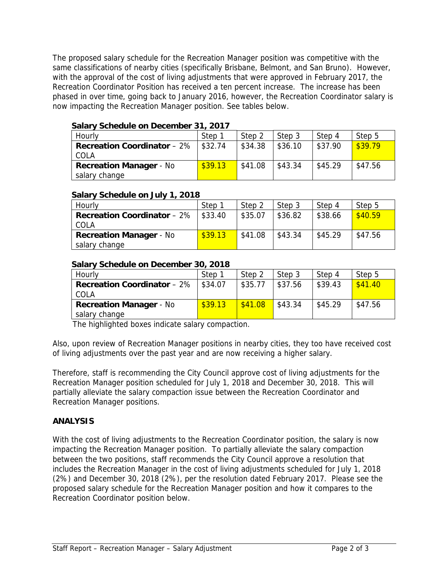The proposed salary schedule for the Recreation Manager position was competitive with the same classifications of nearby cities (specifically Brisbane, Belmont, and San Bruno). However, with the approval of the cost of living adjustments that were approved in February 2017, the Recreation Coordinator Position has received a ten percent increase. The increase has been phased in over time, going back to January 2016, however, the Recreation Coordinator salary is now impacting the Recreation Manager position. See tables below.

| <u>JUNI I JUNGULU UN DUUCHINGI UTALUTT</u> |                   |         |         |         |         |
|--------------------------------------------|-------------------|---------|---------|---------|---------|
| Hourly                                     | Step <sup>1</sup> | Step 2  | Step 3  | Step 4  | Step 5  |
| <b>Recreation Coordinator</b> $-2\%$       | \$32.74           | \$34.38 | \$36.10 | \$37.90 | \$39.79 |
| COLA                                       |                   |         |         |         |         |
| <b>Recreation Manager - No</b>             | \$39.13           | \$41.08 | \$43.34 | \$45.29 | \$47.56 |
| salary change                              |                   |         |         |         |         |

# **Salary Schedule on December 31, 2017**

#### **Salary Schedule on July 1, 2018**

| Hourly                                       | Step 1  | Step 2  | Step 3  | Step 4  | Step 5  |
|----------------------------------------------|---------|---------|---------|---------|---------|
| <b>Recreation Coordinator</b> $-2\%$<br>COLA | \$33.40 | \$35.07 | \$36.82 | \$38.66 | \$40.59 |
| <b>Recreation Manager - No</b>               | \$39.13 | \$41.08 | \$43.34 | \$45.29 | \$47.56 |
| salary change                                |         |         |         |         |         |

## **Salary Schedule on December 30, 2018**

| Hourly                             | Step <sup>1</sup> | Step 2  | Step 3  | Step 4  | Step 5  |
|------------------------------------|-------------------|---------|---------|---------|---------|
| <b>Recreation Coordinator - 2%</b> | \$34.07           | \$35.77 | \$37.56 | \$39.43 | \$41.40 |
| COLA                               |                   |         |         |         |         |
| <b>Recreation Manager - No</b>     | \$39.13           | \$41.08 | \$43.34 | \$45.29 | \$47.56 |
| salary change                      |                   |         |         |         |         |

The highlighted boxes indicate salary compaction.

Also, upon review of Recreation Manager positions in nearby cities, they too have received cost of living adjustments over the past year and are now receiving a higher salary.

Therefore, staff is recommending the City Council approve cost of living adjustments for the Recreation Manager position scheduled for July 1, 2018 and December 30, 2018. This will partially alleviate the salary compaction issue between the Recreation Coordinator and Recreation Manager positions.

# **ANALYSIS**

With the cost of living adjustments to the Recreation Coordinator position, the salary is now impacting the Recreation Manager position. To partially alleviate the salary compaction between the two positions, staff recommends the City Council approve a resolution that includes the Recreation Manager in the cost of living adjustments scheduled for July 1, 2018 (2%) and December 30, 2018 (2%), per the resolution dated February 2017. Please see the proposed salary schedule for the Recreation Manager position and how it compares to the Recreation Coordinator position below.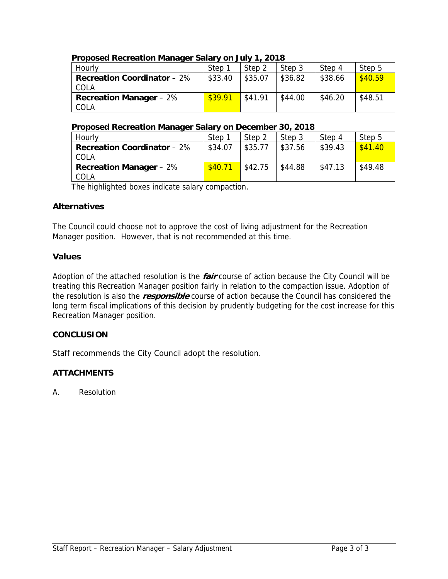| <u>FIUDUSEU NECIEALIUII MAHAYEI JAIAI VULIJUIV I, ZUTU</u> |         |         |         |         |         |  |  |  |
|------------------------------------------------------------|---------|---------|---------|---------|---------|--|--|--|
| Hourly                                                     | Step 1  | Step 2  | Step 3  | Step 4  | Step 5  |  |  |  |
| <b>Recreation Coordinator - 2%</b>                         | \$33.40 | \$35.07 | \$36.82 | \$38.66 | \$40.59 |  |  |  |
| COLA                                                       |         |         |         |         |         |  |  |  |
| <b>Recreation Manager</b> $-2\%$                           | \$39.91 | \$41.91 | \$44.00 | \$46.20 | \$48.51 |  |  |  |
| COLA                                                       |         |         |         |         |         |  |  |  |

# **Proposed Recreation Manager Salary on July 1, 2018**

#### **Proposed Recreation Manager Salary on December 30, 2018**

| Hourly                             | Step 1  | Step 2  | Step 3  | Step 4  | Step 5  |
|------------------------------------|---------|---------|---------|---------|---------|
| <b>Recreation Coordinator - 2%</b> | \$34.07 | \$35.77 | \$37.56 | \$39.43 | \$41.40 |
| COLA                               |         |         |         |         |         |
| <b>Recreation Manager</b> $-2\%$   | \$40.71 | \$42.75 | \$44.88 | \$47.13 | \$49.48 |
| COLA                               |         |         |         |         |         |

The highlighted boxes indicate salary compaction.

#### **Alternatives**

The Council could choose not to approve the cost of living adjustment for the Recreation Manager position. However, that is not recommended at this time.

#### **Values**

Adoption of the attached resolution is the **fair** course of action because the City Council will be treating this Recreation Manager position fairly in relation to the compaction issue. Adoption of the resolution is also the **responsible** course of action because the Council has considered the long term fiscal implications of this decision by prudently budgeting for the cost increase for this Recreation Manager position.

#### **CONCLUSION**

Staff recommends the City Council adopt the resolution.

### **ATTACHMENTS**

A. Resolution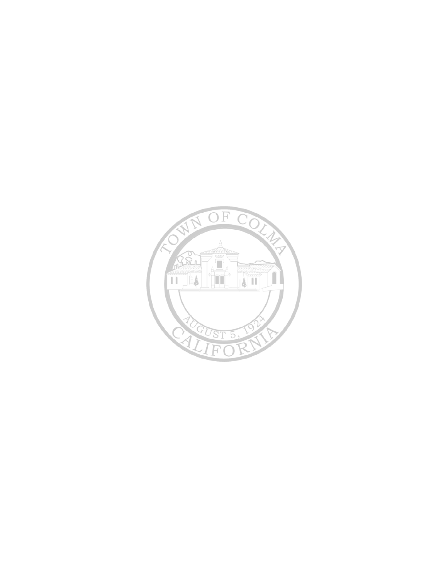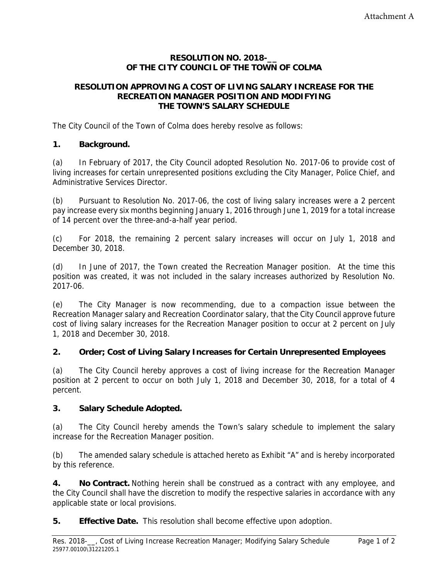#### **RESOLUTION NO. 2018-\_\_ OF THE CITY COUNCIL OF THE TOWN OF COLMA**

#### **RESOLUTION APPROVING A COST OF LIVING SALARY INCREASE FOR THE RECREATION MANAGER POSITION AND MODIFYING THE TOWN'S SALARY SCHEDULE**

The City Council of the Town of Colma does hereby resolve as follows:

## **1. Background.**

(a) In February of 2017, the City Council adopted Resolution No. 2017-06 to provide cost of living increases for certain unrepresented positions excluding the City Manager, Police Chief, and Administrative Services Director.

(b) Pursuant to Resolution No. 2017-06, the cost of living salary increases were a 2 percent pay increase every six months beginning January 1, 2016 through June 1, 2019 for a total increase of 14 percent over the three-and-a-half year period.

(c) For 2018, the remaining 2 percent salary increases will occur on July 1, 2018 and December 30, 2018.

(d) In June of 2017, the Town created the Recreation Manager position. At the time this position was created, it was not included in the salary increases authorized by Resolution No. 2017-06.

(e) The City Manager is now recommending, due to a compaction issue between the Recreation Manager salary and Recreation Coordinator salary, that the City Council approve future cost of living salary increases for the Recreation Manager position to occur at 2 percent on July 1, 2018 and December 30, 2018.

# **2. Order; Cost of Living Salary Increases for Certain Unrepresented Employees**

(a) The City Council hereby approves a cost of living increase for the Recreation Manager position at 2 percent to occur on both July 1, 2018 and December 30, 2018, for a total of 4 percent.

### **3. Salary Schedule Adopted.**

(a) The City Council hereby amends the Town's salary schedule to implement the salary increase for the Recreation Manager position.

(b) The amended salary schedule is attached hereto as Exhibit "A" and is hereby incorporated by this reference.

**4. No Contract.** Nothing herein shall be construed as a contract with any employee, and the City Council shall have the discretion to modify the respective salaries in accordance with any applicable state or local provisions.

**5. Effective Date.** This resolution shall become effective upon adoption.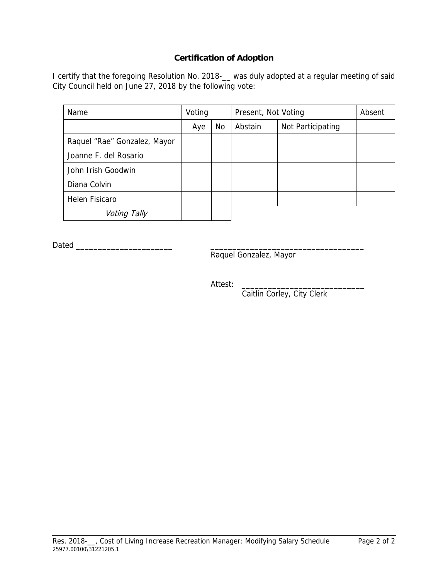# **Certification of Adoption**

I certify that the foregoing Resolution No. 2018-\_\_ was duly adopted at a regular meeting of said City Council held on June 27, 2018 by the following vote:

| Name                         | Voting |           | Present, Not Voting |                   | Absent |
|------------------------------|--------|-----------|---------------------|-------------------|--------|
|                              | Aye    | <b>No</b> | Abstain             | Not Participating |        |
| Raquel "Rae" Gonzalez, Mayor |        |           |                     |                   |        |
| Joanne F. del Rosario        |        |           |                     |                   |        |
| John Irish Goodwin           |        |           |                     |                   |        |
| Diana Colvin                 |        |           |                     |                   |        |
| Helen Fisicaro               |        |           |                     |                   |        |
| Voting Tally                 |        |           |                     |                   |        |

Dated \_\_\_\_\_\_\_\_\_\_\_\_\_\_\_\_\_\_\_\_\_\_ \_\_\_\_\_\_\_\_\_\_\_\_\_\_\_\_\_\_\_\_\_\_\_\_\_\_\_\_\_\_\_\_\_\_\_

Raquel Gonzalez, Mayor

Attest: \_\_\_\_\_\_\_\_\_\_\_\_\_\_\_\_\_\_\_\_\_\_\_\_\_\_\_\_

Caitlin Corley, City Clerk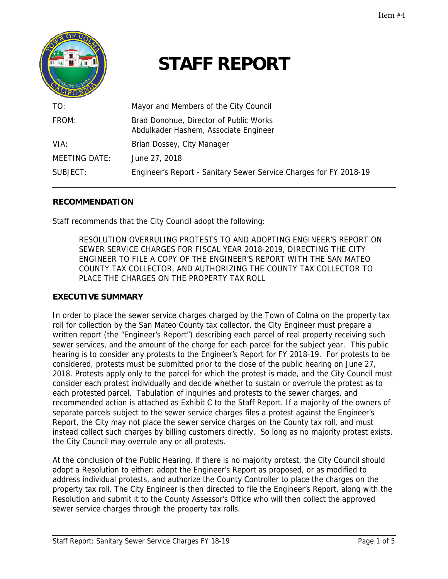

# **STAFF REPORT**

| TO:           | Mayor and Members of the City Council                                           |
|---------------|---------------------------------------------------------------------------------|
| FROM:         | Brad Donohue, Director of Public Works<br>Abdulkader Hashem, Associate Engineer |
| VIA:          | Brian Dossey, City Manager                                                      |
| MEETING DATE: | June 27, 2018                                                                   |
| SUBJECT:      | Engineer's Report - Sanitary Sewer Service Charges for FY 2018-19               |

# **RECOMMENDATION**

Staff recommends that the City Council adopt the following:

RESOLUTION OVERRULING PROTESTS TO AND ADOPTING ENGINEER'S REPORT ON SEWER SERVICE CHARGES FOR FISCAL YEAR 2018-2019, DIRECTING THE CITY ENGINEER TO FILE A COPY OF THE ENGINEER'S REPORT WITH THE SAN MATEO COUNTY TAX COLLECTOR, AND AUTHORIZING THE COUNTY TAX COLLECTOR TO PLACE THE CHARGES ON THE PROPERTY TAX ROLL

# **EXECUTIVE SUMMARY**

In order to place the sewer service charges charged by the Town of Colma on the property tax roll for collection by the San Mateo County tax collector, the City Engineer must prepare a written report (the "Engineer's Report") describing each parcel of real property receiving such sewer services, and the amount of the charge for each parcel for the subject year. This public hearing is to consider any protests to the Engineer's Report for FY 2018-19. For protests to be considered, protests must be submitted prior to the close of the public hearing on June 27, 2018. Protests apply only to the parcel for which the protest is made, and the City Council must consider each protest individually and decide whether to sustain or overrule the protest as to each protested parcel. Tabulation of inquiries and protests to the sewer charges, and recommended action is attached as Exhibit C to the Staff Report. If a majority of the owners of separate parcels subject to the sewer service charges files a protest against the Engineer's Report, the City may not place the sewer service charges on the County tax roll, and must instead collect such charges by billing customers directly. So long as no majority protest exists, the City Council may overrule any or all protests.

At the conclusion of the Public Hearing, if there is no majority protest, the City Council should adopt a Resolution to either: adopt the Engineer's Report as proposed, or as modified to address individual protests, and authorize the County Controller to place the charges on the property tax roll. The City Engineer is then directed to file the Engineer's Report, along with the Resolution and submit it to the County Assessor's Office who will then collect the approved sewer service charges through the property tax rolls.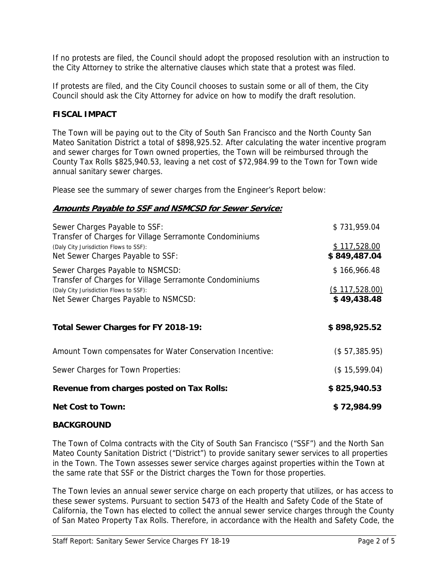If no protests are filed, the Council should adopt the proposed resolution with an instruction to the City Attorney to strike the alternative clauses which state that a protest was filed.

If protests are filed, and the City Council chooses to sustain some or all of them, the City Council should ask the City Attorney for advice on how to modify the draft resolution.

#### **FISCAL IMPACT**

The Town will be paying out to the City of South San Francisco and the North County San Mateo Sanitation District a total of \$898,925.52. After calculating the water incentive program and sewer charges for Town owned properties, the Town will be reimbursed through the County Tax Rolls \$825,940.53, leaving a net cost of \$72,984.99 to the Town for Town wide annual sanitary sewer charges.

Please see the summary of sewer charges from the Engineer's Report below:

#### **Amounts Payable to SSF and NSMCSD for Sewer Service:**

| Sewer Charges Payable to SSF:<br>Transfer of Charges for Village Serramonte Condominiums<br>(Daly City Jurisdiction Flows to SSF):<br>Net Sewer Charges Payable to SSF: | \$731,959.04<br>\$117,528.00<br>\$849,487.04 |
|-------------------------------------------------------------------------------------------------------------------------------------------------------------------------|----------------------------------------------|
| Sewer Charges Payable to NSMCSD:<br>Transfer of Charges for Village Serramonte Condominiums                                                                             | \$166,966.48<br>(\$117,528.00)               |
| (Daly City Jurisdiction Flows to SSF):<br>Net Sewer Charges Payable to NSMCSD:                                                                                          | \$49,438.48                                  |
|                                                                                                                                                                         |                                              |
| Total Sewer Charges for FY 2018-19:                                                                                                                                     | \$898,925.52                                 |
| Amount Town compensates for Water Conservation Incentive:                                                                                                               | (\$57,385.95)                                |
| Sewer Charges for Town Properties:                                                                                                                                      | (\$15,599.04)                                |
| Revenue from charges posted on Tax Rolls:                                                                                                                               | \$825,940.53                                 |

#### **BACKGROUND**

The Town of Colma contracts with the City of South San Francisco ("SSF") and the North San Mateo County Sanitation District ("District") to provide sanitary sewer services to all properties in the Town. The Town assesses sewer service charges against properties within the Town at the same rate that SSF or the District charges the Town for those properties.

The Town levies an annual sewer service charge on each property that utilizes, or has access to these sewer systems. Pursuant to section 5473 of the Health and Safety Code of the State of California, the Town has elected to collect the annual sewer service charges through the County of San Mateo Property Tax Rolls. Therefore, in accordance with the Health and Safety Code, the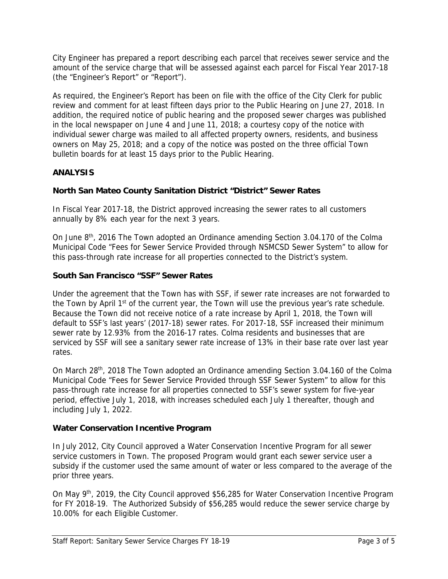City Engineer has prepared a report describing each parcel that receives sewer service and the amount of the service charge that will be assessed against each parcel for Fiscal Year 2017-18 (the "Engineer's Report" or "Report").

As required, the Engineer's Report has been on file with the office of the City Clerk for public review and comment for at least fifteen days prior to the Public Hearing on June 27, 2018. In addition, the required notice of public hearing and the proposed sewer charges was published in the local newspaper on June 4 and June 11, 2018; a courtesy copy of the notice with individual sewer charge was mailed to all affected property owners, residents, and business owners on May 25, 2018; and a copy of the notice was posted on the three official Town bulletin boards for at least 15 days prior to the Public Hearing.

# **ANALYSIS**

# **North San Mateo County Sanitation District "District" Sewer Rates**

In Fiscal Year 2017-18, the District approved increasing the sewer rates to all customers annually by 8% each year for the next 3 years.

On June 8<sup>th</sup>, 2016 The Town adopted an Ordinance amending Section 3.04.170 of the Colma Municipal Code "Fees for Sewer Service Provided through NSMCSD Sewer System" to allow for this pass-through rate increase for all properties connected to the District's system.

# **South San Francisco "SSF" Sewer Rates**

Under the agreement that the Town has with SSF, if sewer rate increases are not forwarded to the Town by April 1<sup>st</sup> of the current year, the Town will use the previous year's rate schedule. Because the Town did not receive notice of a rate increase by April 1, 2018, the Town will default to SSF's last years' (2017-18) sewer rates. For 2017-18, SSF increased their minimum sewer rate by 12.93% from the 2016-17 rates. Colma residents and businesses that are serviced by SSF will see a sanitary sewer rate increase of 13% in their base rate over last year rates.

On March 28th, 2018 The Town adopted an Ordinance amending Section 3.04.160 of the Colma Municipal Code "Fees for Sewer Service Provided through SSF Sewer System" to allow for this pass-through rate increase for all properties connected to SSF's sewer system for five-year period, effective July 1, 2018, with increases scheduled each July 1 thereafter, though and including July 1, 2022.

# **Water Conservation Incentive Program**

In July 2012, City Council approved a Water Conservation Incentive Program for all sewer service customers in Town. The proposed Program would grant each sewer service user a subsidy if the customer used the same amount of water or less compared to the average of the prior three years.

On May 9th, 2019, the City Council approved \$56,285 for Water Conservation Incentive Program for FY 2018-19. The Authorized Subsidy of \$56,285 would reduce the sewer service charge by 10.00% for each Eligible Customer.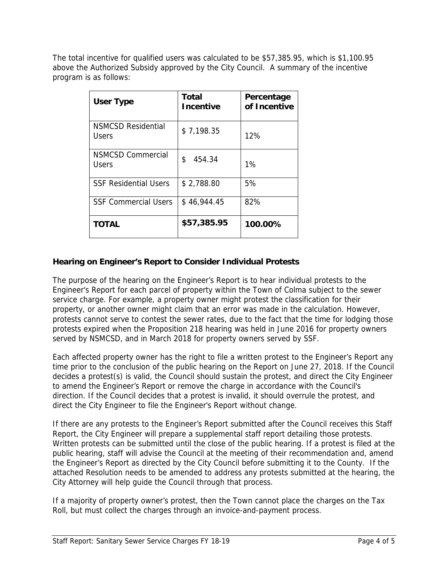The total incentive for qualified users was calculated to be \$57,385.95, which is \$1,100.95 above the Authorized Subsidy approved by the City Council. A summary of the incentive program is as follows:

| <b>User Type</b>                   | Total<br><b>Incentive</b> | Percentage<br>of Incentive |
|------------------------------------|---------------------------|----------------------------|
| <b>NSMCSD Residential</b><br>Users | \$7,198.35                | 12%                        |
| <b>NSMCSD Commercial</b><br>Users  | \$<br>454.34              | $1\%$                      |
| <b>SSF Residential Users</b>       | \$2,788.80                | 5%                         |
| <b>SSF Commercial Users</b>        | \$46,944.45               | 82%                        |
| <b>TOTAL</b>                       | \$57,385.95               | 100.00%                    |

# **Hearing on Engineer's Report to Consider Individual Protests**

The purpose of the hearing on the Engineer's Report is to hear individual protests to the Engineer's Report for each parcel of property within the Town of Colma subject to the sewer service charge. For example, a property owner might protest the classification for their property, or another owner might claim that an error was made in the calculation. However, protests cannot serve to contest the sewer rates, due to the fact that the time for lodging those protests expired when the Proposition 218 hearing was held in June 2016 for property owners served by NSMCSD, and in March 2018 for property owners served by SSF.

Each affected property owner has the right to file a written protest to the Engineer's Report any time prior to the conclusion of the public hearing on the Report on June 27, 2018. If the Council decides a protest(s) is valid, the Council should sustain the protest, and direct the City Engineer to amend the Engineer's Report or remove the charge in accordance with the Council's direction. If the Council decides that a protest is invalid, it should overrule the protest, and direct the City Engineer to file the Engineer's Report without change.

If there are any protests to the Engineer's Report submitted after the Council receives this Staff Report, the City Engineer will prepare a supplemental staff report detailing those protests. Written protests can be submitted until the close of the public hearing. If a protest is filed at the public hearing, staff will advise the Council at the meeting of their recommendation and, amend the Engineer's Report as directed by the City Council before submitting it to the County. If the attached Resolution needs to be amended to address any protests submitted at the hearing, the City Attorney will help guide the Council through that process.

If a majority of property owner's protest, then the Town cannot place the charges on the Tax Roll, but must collect the charges through an invoice-and-payment process.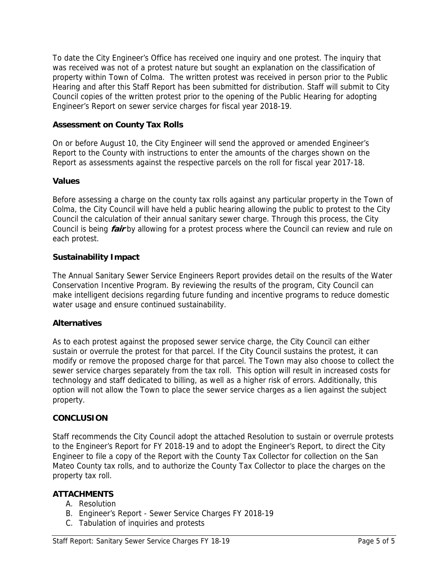To date the City Engineer's Office has received one inquiry and one protest. The inquiry that was received was not of a protest nature but sought an explanation on the classification of property within Town of Colma. The written protest was received in person prior to the Public Hearing and after this Staff Report has been submitted for distribution. Staff will submit to City Council copies of the written protest prior to the opening of the Public Hearing for adopting Engineer's Report on sewer service charges for fiscal year 2018-19.

## **Assessment on County Tax Rolls**

On or before August 10, the City Engineer will send the approved or amended Engineer's Report to the County with instructions to enter the amounts of the charges shown on the Report as assessments against the respective parcels on the roll for fiscal year 2017-18.

### **Values**

Before assessing a charge on the county tax rolls against any particular property in the Town of Colma, the City Council will have held a public hearing allowing the public to protest to the City Council the calculation of their annual sanitary sewer charge. Through this process, the City Council is being **fair** by allowing for a protest process where the Council can review and rule on each protest.

## **Sustainability Impact**

The Annual Sanitary Sewer Service Engineers Report provides detail on the results of the Water Conservation Incentive Program. By reviewing the results of the program, City Council can make intelligent decisions regarding future funding and incentive programs to reduce domestic water usage and ensure continued sustainability.

### **Alternatives**

As to each protest against the proposed sewer service charge, the City Council can either sustain or overrule the protest for that parcel. If the City Council sustains the protest, it can modify or remove the proposed charge for that parcel. The Town may also choose to collect the sewer service charges separately from the tax roll. This option will result in increased costs for technology and staff dedicated to billing, as well as a higher risk of errors. Additionally, this option will not allow the Town to place the sewer service charges as a lien against the subject property.

### **CONCLUSION**

Staff recommends the City Council adopt the attached Resolution to sustain or overrule protests to the Engineer's Report for FY 2018-19 and to adopt the Engineer's Report, to direct the City Engineer to file a copy of the Report with the County Tax Collector for collection on the San Mateo County tax rolls, and to authorize the County Tax Collector to place the charges on the property tax roll.

### **ATTACHMENTS**

- A. Resolution
- B. Engineer's Report Sewer Service Charges FY 2018-19
- C. Tabulation of inquiries and protests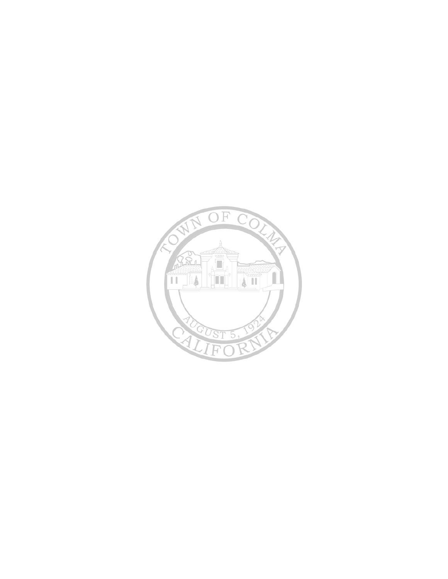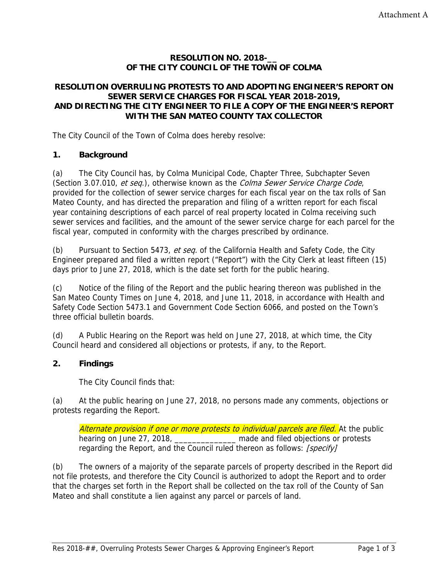## **RESOLUTION NO. 2018-\_\_ OF THE CITY COUNCIL OF THE TOWN OF COLMA**

## **RESOLUTION OVERRULING PROTESTS TO AND ADOPTING ENGINEER'S REPORT ON SEWER SERVICE CHARGES FOR FISCAL YEAR 2018-2019, AND DIRECTING THE CITY ENGINEER TO FILE A COPY OF THE ENGINEER'S REPORT WITH THE SAN MATEO COUNTY TAX COLLECTOR**

The City Council of the Town of Colma does hereby resolve:

# **1. Background**

(a) The City Council has, by Colma Municipal Code, Chapter Three, Subchapter Seven (Section 3.07.010, et seq.), otherwise known as the Colma Sewer Service Charge Code, provided for the collection of sewer service charges for each fiscal year on the tax rolls of San Mateo County, and has directed the preparation and filing of a written report for each fiscal year containing descriptions of each parcel of real property located in Colma receiving such sewer services and facilities, and the amount of the sewer service charge for each parcel for the fiscal year, computed in conformity with the charges prescribed by ordinance.

(b) Pursuant to Section 5473, et seq. of the California Health and Safety Code, the City Engineer prepared and filed a written report ("Report") with the City Clerk at least fifteen (15) days prior to June 27, 2018, which is the date set forth for the public hearing.

(c) Notice of the filing of the Report and the public hearing thereon was published in the San Mateo County Times on June 4, 2018, and June 11, 2018, in accordance with Health and Safety Code Section 5473.1 and Government Code Section 6066, and posted on the Town's three official bulletin boards.

(d) A Public Hearing on the Report was held on June 27, 2018, at which time, the City Council heard and considered all objections or protests, if any, to the Report.

# **2. Findings**

The City Council finds that:

(a) At the public hearing on June 27, 2018, no persons made any comments, objections or protests regarding the Report.

Alternate provision if one or more protests to individual parcels are filed. At the public hearing on June 27, 2018, **Exercise 2018** made and filed objections or protests regarding the Report, and the Council ruled thereon as follows: [specify]

(b) The owners of a majority of the separate parcels of property described in the Report did not file protests, and therefore the City Council is authorized to adopt the Report and to order that the charges set forth in the Report shall be collected on the tax roll of the County of San Mateo and shall constitute a lien against any parcel or parcels of land.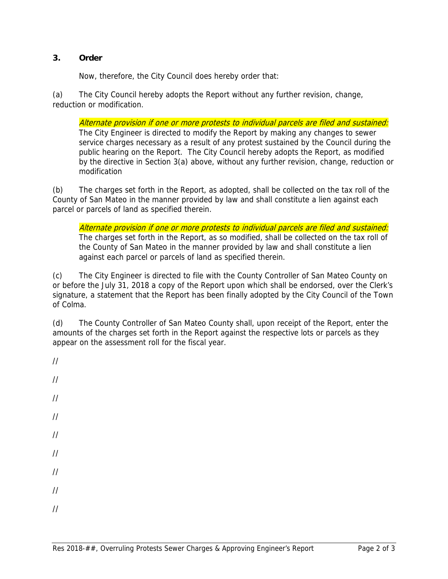## **3. Order**

Now, therefore, the City Council does hereby order that:

(a) The City Council hereby adopts the Report without any further revision, change, reduction or modification.

Alternate provision if one or more protests to individual parcels are filed and sustained: The City Engineer is directed to modify the Report by making any changes to sewer service charges necessary as a result of any protest sustained by the Council during the public hearing on the Report. The City Council hereby adopts the Report, as modified by the directive in Section 3(a) above, without any further revision, change, reduction or modification

(b) The charges set forth in the Report, as adopted, shall be collected on the tax roll of the County of San Mateo in the manner provided by law and shall constitute a lien against each parcel or parcels of land as specified therein.

Alternate provision if one or more protests to individual parcels are filed and sustained: The charges set forth in the Report, as so modified, shall be collected on the tax roll of the County of San Mateo in the manner provided by law and shall constitute a lien against each parcel or parcels of land as specified therein.

(c) The City Engineer is directed to file with the County Controller of San Mateo County on or before the July 31, 2018 a copy of the Report upon which shall be endorsed, over the Clerk's signature, a statement that the Report has been finally adopted by the City Council of the Town of Colma.

(d) The County Controller of San Mateo County shall, upon receipt of the Report, enter the amounts of the charges set forth in the Report against the respective lots or parcels as they appear on the assessment roll for the fiscal year.

//

//

- //
- //
- 
- //
- //
- //
- //
- 
- //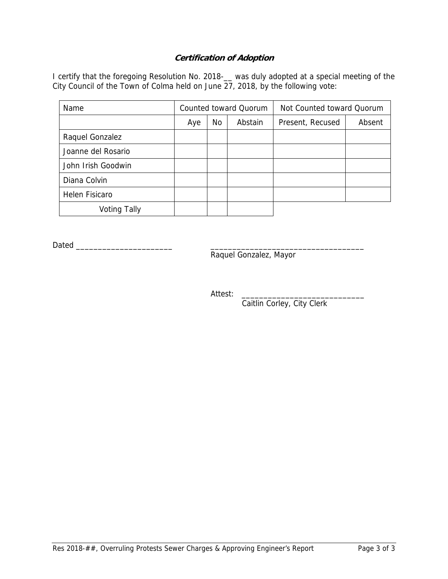# **Certification of Adoption**

I certify that the foregoing Resolution No. 2018-\_\_ was duly adopted at a special meeting of the City Council of the Town of Colma held on June  $27$ , 2018, by the following vote:

| Name                | Counted toward Quorum |  |                  | Not Counted toward Quorum |  |  |
|---------------------|-----------------------|--|------------------|---------------------------|--|--|
|                     | No<br>Abstain<br>Aye  |  | Present, Recused | Absent                    |  |  |
| Raquel Gonzalez     |                       |  |                  |                           |  |  |
| Joanne del Rosario  |                       |  |                  |                           |  |  |
| John Irish Goodwin  |                       |  |                  |                           |  |  |
| Diana Colvin        |                       |  |                  |                           |  |  |
| Helen Fisicaro      |                       |  |                  |                           |  |  |
| <b>Voting Tally</b> |                       |  |                  |                           |  |  |

Dated \_\_\_\_\_\_\_\_\_\_\_\_\_\_\_\_\_\_\_\_\_\_ \_\_\_\_\_\_\_\_\_\_\_\_\_\_\_\_\_\_\_\_\_\_\_\_\_\_\_\_\_\_\_\_\_\_\_

Raquel Gonzalez, Mayor

Attest: \_\_\_\_\_\_\_\_\_\_\_\_\_\_\_\_\_\_\_\_\_\_\_\_\_\_\_\_

Caitlin Corley, City Clerk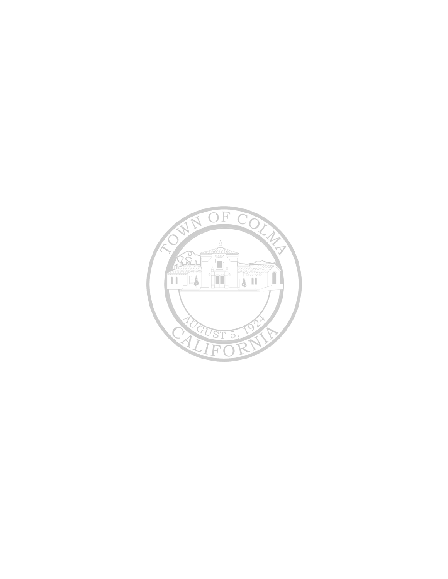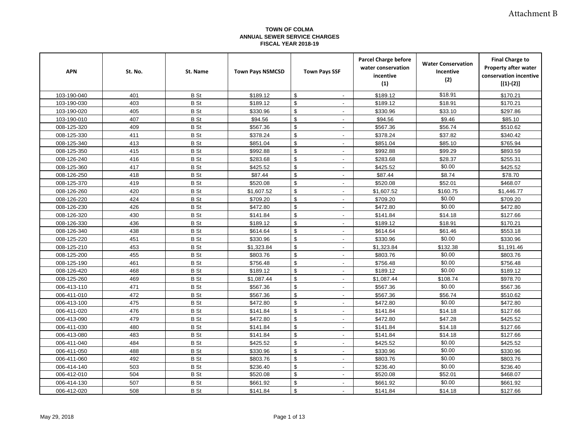| <b>APN</b>  | St. No. | <b>St. Name</b> | <b>Town Pays NSMCSD</b> | <b>Town Pays SSF</b>           | <b>Parcel Charge before</b><br>water conservation<br>incentive<br>(1) | <b>Water Conservation</b><br>Incentive<br>(2) | <b>Final Charge to</b><br><b>Property after water</b><br>conservation incentive<br>$[(1)-(2)]$ |
|-------------|---------|-----------------|-------------------------|--------------------------------|-----------------------------------------------------------------------|-----------------------------------------------|------------------------------------------------------------------------------------------------|
| 103-190-040 | 401     | <b>B</b> St     | \$189.12                | \$<br>$\blacksquare$           | \$189.12                                                              | \$18.91                                       | \$170.21                                                                                       |
| 103-190-030 | 403     | <b>B</b> St     | \$189.12                | \$<br>$\blacksquare$           | \$189.12                                                              | \$18.91                                       | \$170.21                                                                                       |
| 103-190-020 | 405     | <b>B</b> St     | \$330.96                | \$<br>$\blacksquare$           | \$330.96                                                              | \$33.10                                       | \$297.86                                                                                       |
| 103-190-010 | 407     | <b>B</b> St     | \$94.56                 | \$<br>$\overline{\phantom{a}}$ | \$94.56                                                               | \$9.46                                        | \$85.10                                                                                        |
| 008-125-320 | 409     | <b>B</b> St     | \$567.36                | \$<br>$\blacksquare$           | \$567.36                                                              | \$56.74                                       | \$510.62                                                                                       |
| 008-125-330 | 411     | <b>B</b> St     | \$378.24                | \$<br>$\sim$                   | \$378.24                                                              | \$37.82                                       | \$340.42                                                                                       |
| 008-125-340 | 413     | <b>B</b> St     | \$851.04                | \$<br>$\overline{a}$           | \$851.04                                                              | \$85.10                                       | \$765.94                                                                                       |
| 008-125-350 | 415     | <b>B</b> St     | \$992.88                | \$<br>$\blacksquare$           | \$992.88                                                              | \$99.29                                       | \$893.59                                                                                       |
| 008-126-240 | 416     | <b>B</b> St     | \$283.68                | \$<br>$\blacksquare$           | \$283.68                                                              | \$28.37                                       | \$255.31                                                                                       |
| 008-125-360 | 417     | <b>B</b> St     | \$425.52                | \$<br>$\blacksquare$           | \$425.52                                                              | \$0.00                                        | \$425.52                                                                                       |
| 008-126-250 | 418     | <b>B</b> St     | \$87.44                 | \$<br>$\overline{a}$           | \$87.44                                                               | \$8.74                                        | \$78.70                                                                                        |
| 008-125-370 | 419     | <b>B</b> St     | \$520.08                | \$<br>$\overline{\phantom{a}}$ | \$520.08                                                              | \$52.01                                       | \$468.07                                                                                       |
| 008-126-260 | 420     | <b>B</b> St     | \$1,607.52              | \$<br>$\overline{a}$           | \$1,607.52                                                            | \$160.75                                      | \$1,446.77                                                                                     |
| 008-126-220 | 424     | <b>B</b> St     | \$709.20                | \$<br>$\blacksquare$           | \$709.20                                                              | \$0.00                                        | \$709.20                                                                                       |
| 008-126-230 | 426     | <b>B</b> St     | \$472.80                | \$<br>$\overline{a}$           | \$472.80                                                              | \$0.00                                        | \$472.80                                                                                       |
| 008-126-320 | 430     | <b>B</b> St     | \$141.84                | \$<br>$\sim$                   | \$141.84                                                              | \$14.18                                       | \$127.66                                                                                       |
| 008-126-330 | 436     | <b>B</b> St     | \$189.12                | \$<br>$\overline{a}$           | \$189.12                                                              | \$18.91                                       | \$170.21                                                                                       |
| 008-126-340 | 438     | <b>B</b> St     | \$614.64                | \$<br>$\overline{\phantom{a}}$ | \$614.64                                                              | \$61.46                                       | \$553.18                                                                                       |
| 008-125-220 | 451     | <b>B</b> St     | \$330.96                | \$<br>$\overline{a}$           | \$330.96                                                              | \$0.00                                        | \$330.96                                                                                       |
| 008-125-210 | 453     | <b>B</b> St     | \$1,323.84              | \$<br>$\blacksquare$           | \$1,323.84                                                            | \$132.38                                      | \$1,191.46                                                                                     |
| 008-125-200 | 455     | <b>B</b> St     | \$803.76                | \$<br>$\overline{a}$           | \$803.76                                                              | \$0.00                                        | \$803.76                                                                                       |
| 008-125-190 | 461     | <b>B</b> St     | \$756.48                | \$<br>$\overline{a}$           | \$756.48                                                              | \$0.00                                        | \$756.48                                                                                       |
| 008-126-420 | 468     | <b>B</b> St     | \$189.12                | \$<br>$\blacksquare$           | \$189.12                                                              | \$0.00                                        | \$189.12                                                                                       |
| 008-125-260 | 469     | <b>B</b> St     | \$1,087.44              | \$<br>$\blacksquare$           | \$1,087.44                                                            | \$108.74                                      | \$978.70                                                                                       |
| 006-413-110 | 471     | <b>B</b> St     | \$567.36                | \$<br>$\overline{a}$           | \$567.36                                                              | \$0.00                                        | \$567.36                                                                                       |
| 006-411-010 | 472     | <b>B</b> St     | \$567.36                | \$<br>$\overline{a}$           | \$567.36                                                              | \$56.74                                       | \$510.62                                                                                       |
| 006-413-100 | 475     | <b>B</b> St     | \$472.80                | \$<br>$\overline{a}$           | \$472.80                                                              | \$0.00                                        | \$472.80                                                                                       |
| 006-411-020 | 476     | <b>B</b> St     | \$141.84                | \$<br>$\blacksquare$           | \$141.84                                                              | \$14.18                                       | \$127.66                                                                                       |
| 006-413-090 | 479     | <b>B</b> St     | \$472.80                | \$<br>$\overline{a}$           | \$472.80                                                              | \$47.28                                       | \$425.52                                                                                       |
| 006-411-030 | 480     | <b>B</b> St     | \$141.84                | \$<br>$\overline{a}$           | \$141.84                                                              | \$14.18                                       | \$127.66                                                                                       |
| 006-413-080 | 483     | <b>B</b> St     | \$141.84                | \$<br>$\overline{a}$           | \$141.84                                                              | \$14.18                                       | \$127.66                                                                                       |
| 006-411-040 | 484     | <b>B</b> St     | \$425.52                | \$<br>$\blacksquare$           | \$425.52                                                              | \$0.00                                        | \$425.52                                                                                       |
| 006-411-050 | 488     | <b>B</b> St     | \$330.96                | \$<br>$\overline{a}$           | \$330.96                                                              | \$0.00                                        | \$330.96                                                                                       |
| 006-411-060 | 492     | <b>B</b> St     | \$803.76                | \$<br>$\overline{a}$           | \$803.76                                                              | \$0.00                                        | \$803.76                                                                                       |
| 006-414-140 | 503     | <b>B</b> St     | \$236.40                | \$<br>$\overline{a}$           | \$236.40                                                              | \$0.00                                        | \$236.40                                                                                       |
| 006-412-010 | 504     | <b>B</b> St     | \$520.08                | \$<br>$\overline{\phantom{a}}$ | \$520.08                                                              | \$52.01                                       | \$468.07                                                                                       |
| 006-414-130 | 507     | <b>B</b> St     | \$661.92                | \$<br>$\sim$                   | \$661.92                                                              | \$0.00                                        | \$661.92                                                                                       |
| 006-412-020 | 508     | <b>B</b> St     | \$141.84                | \$                             | \$141.84                                                              | \$14.18                                       | \$127.66                                                                                       |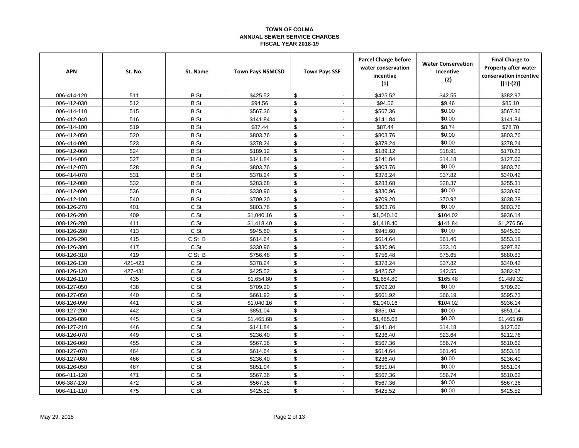| <b>APN</b>  | St. No. | St. Name    | <b>Town Pays NSMCSD</b> |                         | <b>Town Pays SSF</b>     | <b>Parcel Charge before</b><br>water conservation<br>incentive<br>(1) | <b>Water Conservation</b><br>Incentive<br>(2) | <b>Final Charge to</b><br><b>Property after water</b><br>conservation incentive<br>$[(1)-(2)]$ |
|-------------|---------|-------------|-------------------------|-------------------------|--------------------------|-----------------------------------------------------------------------|-----------------------------------------------|------------------------------------------------------------------------------------------------|
| 006-414-120 | 511     | <b>B</b> St | \$425.52                | \$                      |                          | \$425.52                                                              | \$42.55                                       | \$382.97                                                                                       |
| 006-412-030 | 512     | <b>B</b> St | \$94.56                 | \$                      |                          | \$94.56                                                               | \$9.46                                        | \$85.10                                                                                        |
| 006-414-110 | 515     | <b>B</b> St | \$567.36                | $\sqrt[6]{\frac{1}{2}}$ | $\sim$                   | \$567.36                                                              | \$0.00                                        | \$567.36                                                                                       |
| 006-412-040 | 516     | <b>B</b> St | \$141.84                | \$                      | $\blacksquare$           | \$141.84                                                              | \$0.00                                        | \$141.84                                                                                       |
| 006-414-100 | 519     | <b>B</b> St | \$87.44                 | \$                      | $\ddot{\phantom{a}}$     | \$87.44                                                               | \$8.74                                        | \$78.70                                                                                        |
| 006-412-050 | 520     | <b>B</b> St | \$803.76                | \$                      | $\overline{\phantom{a}}$ | \$803.76                                                              | \$0.00                                        | \$803.76                                                                                       |
| 006-414-090 | 523     | <b>B</b> St | \$378.24                | \$                      | $\blacksquare$           | \$378.24                                                              | \$0.00                                        | \$378.24                                                                                       |
| 006-412-060 | 524     | <b>B</b> St | \$189.12                | \$                      | $\blacksquare$           | \$189.12                                                              | \$18.91                                       | \$170.21                                                                                       |
| 006-414-080 | 527     | <b>B</b> St | \$141.84                | \$                      | $\sim$                   | \$141.84                                                              | \$14.18                                       | \$127.66                                                                                       |
| 006-412-070 | 528     | <b>B</b> St | \$803.76                | \$                      |                          | \$803.76                                                              | \$0.00                                        | \$803.76                                                                                       |
| 006-414-070 | 531     | <b>B</b> St | \$378.24                | \$                      | $\sim$                   | \$378.24                                                              | \$37.82                                       | \$340.42                                                                                       |
| 006-412-080 | 532     | <b>B</b> St | \$283.68                | \$                      | $\blacksquare$           | \$283.68                                                              | \$28.37                                       | \$255.31                                                                                       |
| 006-412-090 | 536     | <b>B</b> St | \$330.96                | \$                      | $\sim$                   | \$330.96                                                              | \$0.00                                        | \$330.96                                                                                       |
| 006-412-100 | 540     | <b>B</b> St | \$709.20                | \$                      |                          | \$709.20                                                              | \$70.92                                       | \$638.28                                                                                       |
| 008-126-270 | 401     | C St        | \$803.76                | \$                      | $\overline{\phantom{a}}$ | \$803.76                                                              | \$0.00                                        | \$803.76                                                                                       |
| 008-126-280 | 409     | C St        | \$1,040.16              | \$                      | $\blacksquare$           | \$1,040.16                                                            | \$104.02                                      | \$936.14                                                                                       |
| 008-126-280 | 411     | C St        | \$1,418.40              | \$                      | $\overline{\phantom{a}}$ | \$1,418.40                                                            | \$141.84                                      | \$1,276.56                                                                                     |
| 008-126-280 | 413     | C St        | \$945.60                | \$                      | $\sim$                   | \$945.60                                                              | \$0.00                                        | \$945.60                                                                                       |
| 008-126-290 | 415     | C St B      | \$614.64                | \$                      | $\overline{\phantom{a}}$ | \$614.64                                                              | \$61.46                                       | \$553.18                                                                                       |
| 008-126-300 | 417     | C St        | \$330.96                | \$                      | $\overline{a}$           | \$330.96                                                              | \$33.10                                       | \$297.86                                                                                       |
| 008-126-310 | 419     | C St B      | \$756.48                | \$                      | $\blacksquare$           | \$756.48                                                              | \$75.65                                       | \$680.83                                                                                       |
| 008-126-130 | 421-423 | C St        | \$378.24                | \$                      | $\blacksquare$           | \$378.24                                                              | \$37.82                                       | \$340.42                                                                                       |
| 008-126-120 | 427-431 | C St        | \$425.52                | \$                      | $\overline{\phantom{a}}$ | \$425.52                                                              | \$42.55                                       | \$382.97                                                                                       |
| 008-126-110 | 435     | C St        | \$1,654.80              | \$                      | $\blacksquare$           | \$1,654.80                                                            | \$165.48                                      | \$1,489.32                                                                                     |
| 008-127-050 | 438     | C St        | \$709.20                | \$                      | $\blacksquare$           | \$709.20                                                              | \$0.00                                        | \$709.20                                                                                       |
| 008-127-050 | 440     | C St        | \$661.92                | \$                      | $\mathbf{r}$             | \$661.92                                                              | \$66.19                                       | \$595.73                                                                                       |
| 008-126-090 | 441     | C St        | \$1,040.16              | \$                      | $\sim$                   | \$1,040.16                                                            | \$104.02                                      | \$936.14                                                                                       |
| 008-127-200 | 442     | C St        | \$851.04                | \$                      | $\overline{a}$           | \$851.04                                                              | \$0.00                                        | \$851.04                                                                                       |
| 008-126-080 | 445     | C St        | \$1,465.68              | \$                      | $\blacksquare$           | \$1,465.68                                                            | \$0.00                                        | \$1,465.68                                                                                     |
| 008-127-210 | 446     | C St        | \$141.84                | \$                      | $\mathbf{r}$             | \$141.84                                                              | \$14.18                                       | \$127.66                                                                                       |
| 008-126-070 | 449     | $C$ St      | \$236.40                | \$                      | $\blacksquare$           | \$236.40                                                              | \$23.64                                       | \$212.76                                                                                       |
| 008-126-060 | 455     | C St        | \$567.36                | \$                      | $\ddot{\phantom{a}}$     | \$567.36                                                              | \$56.74                                       | \$510.62                                                                                       |
| 008-127-070 | 464     | C St        | \$614.64                | \$                      | $\blacksquare$           | \$614.64                                                              | \$61.46                                       | \$553.18                                                                                       |
| 008-127-080 | 466     | C St        | \$236.40                | $\sqrt[6]{\frac{1}{2}}$ | $\sim$                   | \$236.40                                                              | \$0.00                                        | \$236.40                                                                                       |
| 008-126-050 | 467     | C St        | \$851.04                | \$                      | $\blacksquare$           | \$851.04                                                              | \$0.00                                        | \$851.04                                                                                       |
| 006-411-120 | 471     | C St        | \$567.36                | \$                      | $\sim$                   | \$567.36                                                              | \$56.74                                       | \$510.62                                                                                       |
| 006-387-130 | 472     | C St        | \$567.36                | \$                      |                          | \$567.36                                                              | \$0.00                                        | \$567.36                                                                                       |
| 006-411-110 | 475     | C St        | \$425.52                | \$                      |                          | \$425.52                                                              | \$0.00                                        | \$425.52                                                                                       |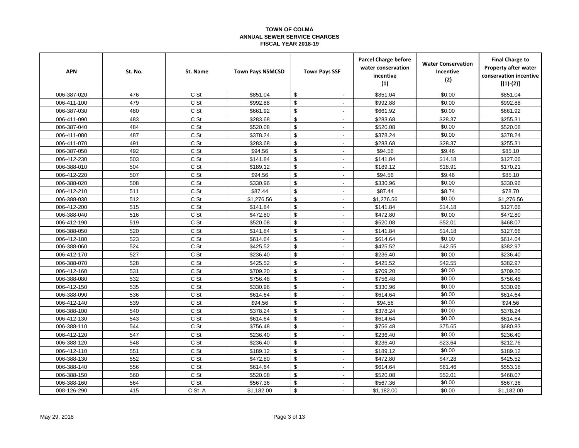| <b>APN</b>  | St. No. | St. Name | <b>Town Pays NSMCSD</b> | <b>Town Pays SSF</b>           | <b>Parcel Charge before</b><br>water conservation<br>incentive<br>(1) | <b>Water Conservation</b><br><b>Incentive</b><br>(2) | <b>Final Charge to</b><br><b>Property after water</b><br>conservation incentive<br>$[(1)-(2)]$ |
|-------------|---------|----------|-------------------------|--------------------------------|-----------------------------------------------------------------------|------------------------------------------------------|------------------------------------------------------------------------------------------------|
| 006-387-020 | 476     | C St     | \$851.04                | \$<br>$\blacksquare$           | \$851.04                                                              | \$0.00                                               | \$851.04                                                                                       |
| 006-411-100 | 479     | C St     | \$992.88                | \$                             | \$992.88                                                              | \$0.00                                               | \$992.88                                                                                       |
| 006-387-030 | 480     | C St     | \$661.92                | \$<br>$\sim$                   | \$661.92                                                              | \$0.00                                               | \$661.92                                                                                       |
| 006-411-090 | 483     | $C$ St   | \$283.68                | \$<br>$\blacksquare$           | \$283.68                                                              | \$28.37                                              | \$255.31                                                                                       |
| 006-387-040 | 484     | C St     | \$520.08                | \$<br>$\overline{a}$           | \$520.08                                                              | \$0.00                                               | \$520.08                                                                                       |
| 006-411-080 | 487     | $C$ St   | \$378.24                | \$<br>$\overline{a}$           | \$378.24                                                              | \$0.00                                               | \$378.24                                                                                       |
| 006-411-070 | 491     | C St     | \$283.68                | \$<br>$\overline{a}$           | \$283.68                                                              | \$28.37                                              | \$255.31                                                                                       |
| 006-387-050 | 492     | C St     | \$94.56                 | \$<br>$\blacksquare$           | \$94.56                                                               | \$9.46                                               | \$85.10                                                                                        |
| 006-412-230 | 503     | C St     | \$141.84                | \$<br>$\overline{a}$           | \$141.84                                                              | \$14.18                                              | \$127.66                                                                                       |
| 006-388-010 | 504     | C St     | \$189.12                | \$                             | \$189.12                                                              | \$18.91                                              | \$170.21                                                                                       |
| 006-412-220 | 507     | $C$ St   | \$94.56                 | \$<br>$\blacksquare$           | \$94.56                                                               | \$9.46                                               | \$85.10                                                                                        |
| 006-388-020 | 508     | $C$ St   | \$330.96                | \$<br>$\blacksquare$           | \$330.96                                                              | \$0.00                                               | \$330.96                                                                                       |
| 006-412-210 | 511     | C St     | \$87.44                 | \$<br>$\blacksquare$           | \$87.44                                                               | \$8.74                                               | \$78.70                                                                                        |
| 006-388-030 | 512     | $C$ St   | \$1,276.56              | \$<br>$\overline{a}$           | \$1,276.56                                                            | \$0.00                                               | \$1,276.56                                                                                     |
| 006-412-200 | 515     | C St     | \$141.84                | \$<br>$\blacksquare$           | \$141.84                                                              | \$14.18                                              | \$127.66                                                                                       |
| 006-388-040 | 516     | C St     | \$472.80                | \$<br>$\blacksquare$           | \$472.80                                                              | \$0.00                                               | \$472.80                                                                                       |
| 006-412-190 | 519     | $C$ St   | \$520.08                | \$<br>$\overline{\phantom{0}}$ | \$520.08                                                              | \$52.01                                              | \$468.07                                                                                       |
| 006-388-050 | 520     | C St     | \$141.84                | \$<br>$\blacksquare$           | \$141.84                                                              | \$14.18                                              | \$127.66                                                                                       |
| 006-412-180 | 523     | C St     | \$614.64                | \$<br>$\overline{\phantom{a}}$ | \$614.64                                                              | \$0.00                                               | \$614.64                                                                                       |
| 006-388-060 | 524     | C St     | \$425.52                | \$<br>$\overline{a}$           | \$425.52                                                              | \$42.55                                              | \$382.97                                                                                       |
| 006-412-170 | 527     | C St     | \$236.40                | \$<br>$\overline{\phantom{a}}$ | \$236.40                                                              | \$0.00                                               | \$236.40                                                                                       |
| 006-388-070 | 528     | C St     | \$425.52                | \$<br>$\blacksquare$           | \$425.52                                                              | \$42.55                                              | \$382.97                                                                                       |
| 006-412-160 | 531     | C St     | \$709.20                | \$<br>$\blacksquare$           | \$709.20                                                              | \$0.00                                               | \$709.20                                                                                       |
| 006-388-080 | 532     | $C$ St   | \$756.48                | \$<br>$\overline{\phantom{a}}$ | \$756.48                                                              | \$0.00                                               | \$756.48                                                                                       |
| 006-412-150 | 535     | C St     | \$330.96                | \$<br>$\blacksquare$           | \$330.96                                                              | \$0.00                                               | \$330.96                                                                                       |
| 006-388-090 | 536     | C St     | \$614.64                | \$<br>$\blacksquare$           | \$614.64                                                              | \$0.00                                               | \$614.64                                                                                       |
| 006-412-140 | 539     | C St     | \$94.56                 | \$<br>$\overline{\phantom{a}}$ | \$94.56                                                               | \$0.00                                               | \$94.56                                                                                        |
| 006-388-100 | 540     | C St     | \$378.24                | \$<br>$\blacksquare$           | \$378.24                                                              | \$0.00                                               | \$378.24                                                                                       |
| 006-412-130 | 543     | $C$ St   | \$614.64                | \$<br>$\overline{a}$           | \$614.64                                                              | \$0.00                                               | \$614.64                                                                                       |
| 006-388-110 | 544     | C St     | \$756.48                | \$<br>$\blacksquare$           | \$756.48                                                              | \$75.65                                              | \$680.83                                                                                       |
| 006-412-120 | 547     | C St     | \$236.40                | \$<br>$\blacksquare$           | \$236.40                                                              | \$0.00                                               | \$236.40                                                                                       |
| 006-388-120 | 548     | C St     | \$236.40                | \$<br>$\sim$                   | \$236.40                                                              | \$23.64                                              | \$212.76                                                                                       |
| 006-412-110 | 551     | $C$ St   | \$189.12                | \$<br>$\overline{a}$           | \$189.12                                                              | \$0.00                                               | \$189.12                                                                                       |
| 006-388-130 | 552     | C St     | \$472.80                | \$<br>$\overline{a}$           | \$472.80                                                              | \$47.28                                              | \$425.52                                                                                       |
| 006-388-140 | 556     | C St     | \$614.64                | \$<br>$\blacksquare$           | \$614.64                                                              | \$61.46                                              | \$553.18                                                                                       |
| 006-388-150 | 560     | C St     | \$520.08                | \$<br>$\overline{a}$           | \$520.08                                                              | \$52.01                                              | \$468.07                                                                                       |
| 006-388-160 | 564     | $C$ St   | \$567.36                | \$<br>$\blacksquare$           | \$567.36                                                              | \$0.00                                               | \$567.36                                                                                       |
| 008-126-290 | 415     | C St A   | \$1,182.00              | \$<br>$\overline{a}$           | \$1,182.00                                                            | \$0.00                                               | \$1,182.00                                                                                     |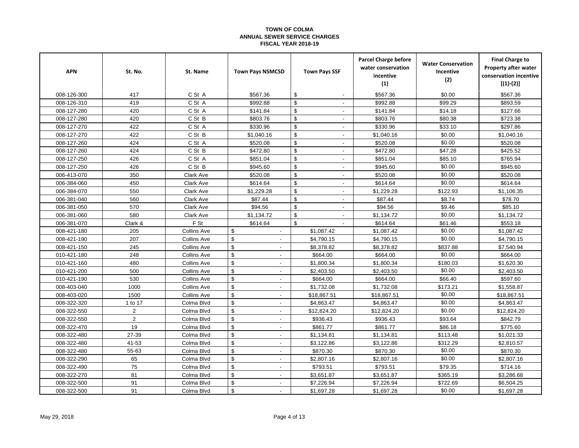| <b>APN</b>  | St. No.        | St. Name           | <b>Town Pays NSMCSD</b>        | <b>Town Pays SSF</b>                      | <b>Parcel Charge before</b><br>water conservation<br>incentive<br>(1) | <b>Water Conservation</b><br>Incentive<br>(2) | <b>Final Charge to</b><br><b>Property after water</b><br>conservation incentive<br>$[(1)-(2)]$ |
|-------------|----------------|--------------------|--------------------------------|-------------------------------------------|-----------------------------------------------------------------------|-----------------------------------------------|------------------------------------------------------------------------------------------------|
| 008-126-300 | 417            | C St A             | \$567.36                       | \$                                        | \$567.36                                                              | \$0.00                                        | \$567.36                                                                                       |
| 008-126-310 | 419            | C St A             | \$992.88                       | \$                                        | \$992.88                                                              | \$99.29                                       | \$893.59                                                                                       |
| 008-127-280 | 420            | C St A             | \$141.84                       | $\sqrt[6]{\frac{1}{2}}$<br>$\sim$         | \$141.84                                                              | \$14.18                                       | \$127.66                                                                                       |
| 008-127-280 | 420            | C St B             | \$803.76                       | $\,$<br>$\overline{\phantom{a}}$          | \$803.76                                                              | \$80.38                                       | \$723.38                                                                                       |
| 008-127-270 | 422            | C St A             | \$330.96                       | $\sqrt[6]{\frac{1}{2}}$<br>$\blacksquare$ | \$330.96                                                              | \$33.10                                       | \$297.86                                                                                       |
| 008-127-270 | 422            | C St B             | \$1,040.16                     | \$<br>$\overline{a}$                      | \$1,040.16                                                            | \$0.00                                        | \$1,040.16                                                                                     |
| 008-127-260 | 424            | C St A             | \$520.08                       | \$<br>$\sim$                              | \$520.08                                                              | \$0.00                                        | \$520.08                                                                                       |
| 008-127-260 | 424            | C St B             | \$472.80                       | \$<br>$\overline{\phantom{a}}$            | \$472.80                                                              | \$47.28                                       | \$425.52                                                                                       |
| 008-127-250 | 426            | C St A             | \$851.04                       | \$<br>$\blacksquare$                      | \$851.04                                                              | \$85.10                                       | \$765.94                                                                                       |
| 008-127-250 | 426            | C St B             | \$945.60                       | \$                                        | \$945.60                                                              | \$0.00                                        | \$945.60                                                                                       |
| 006-413-070 | 350            | Clark Ave          | \$520.08                       | \$<br>$\sim$                              | \$520.08                                                              | \$0.00                                        | \$520.08                                                                                       |
| 006-384-060 | 450            | Clark Ave          | \$614.64                       | \$<br>$\blacksquare$                      | \$614.64                                                              | \$0.00                                        | \$614.64                                                                                       |
| 006-384-070 | 550            | Clark Ave          | \$1,229.28                     | \$<br>$\sim$                              | \$1,229.28                                                            | \$122.93                                      | \$1,106.35                                                                                     |
| 006-381-040 | 560            | Clark Ave          | \$87.44                        | \$                                        | \$87.44                                                               | \$8.74                                        | \$78.70                                                                                        |
| 006-381-050 | 570            | Clark Ave          | \$94.56                        | \$<br>$\sim$                              | \$94.56                                                               | \$9.46                                        | \$85.10                                                                                        |
| 006-381-060 | 580            | Clark Ave          | \$1,134.72                     | \$<br>$\blacksquare$                      | \$1,134.72                                                            | \$0.00                                        | \$1,134.72                                                                                     |
| 006-381-070 | Clark &        | F St               | \$614.64                       | \$                                        | \$614.64                                                              | \$61.46                                       | \$553.18                                                                                       |
| 008-421-180 | 205            | <b>Collins Ave</b> | \$                             | \$1,087.42                                | \$1,087.42                                                            | \$0.00                                        | \$1,087.42                                                                                     |
| 008-421-190 | 207            | <b>Collins Ave</b> | \$<br>$\sim$                   | \$4,790.15                                | \$4,790.15                                                            | \$0.00                                        | \$4,790.15                                                                                     |
| 008-421-150 | 245            | <b>Collins Ave</b> | \$                             | \$8,378.82                                | \$8,378.82                                                            | \$837.88                                      | \$7,540.94                                                                                     |
| 010-421-180 | 248            | Collins Ave        | \$                             | \$664.00                                  | \$664.00                                                              | \$0.00                                        | \$664.00                                                                                       |
| 010-421-160 | 480            | <b>Collins Ave</b> | $\mathbb S$                    | \$1,800.34                                | \$1,800.34                                                            | \$180.03                                      | \$1,620.30                                                                                     |
| 010-421-200 | 500            | Collins Ave        | \$<br>$\overline{\phantom{a}}$ | \$2,403.50                                | \$2,403.50                                                            | \$0.00                                        | \$2,403.50                                                                                     |
| 010-421-190 | 530            | <b>Collins Ave</b> | $\,$<br>$\sim$                 | \$664.00                                  | \$664.00                                                              | \$66.40                                       | \$597.60                                                                                       |
| 008-403-040 | 1000           | Collins Ave        | $\mathbb S$                    | \$1,732.08                                | \$1,732.08                                                            | \$173.21                                      | \$1,558.87                                                                                     |
| 008-403-020 | 1500           | <b>Collins Ave</b> | $\mathbb S$                    | \$18,867.51                               | \$18,867.51                                                           | \$0.00                                        | \$18,867.51                                                                                    |
| 008-322-320 | 1 to 17        | Colma Blvd         | \$<br>$\sim$                   | \$4,863.47                                | \$4,863.47                                                            | \$0.00                                        | \$4,863.47                                                                                     |
| 008-322-550 | 2              | Colma Blvd         | \$                             | \$12,824.20                               | \$12,824.20                                                           | \$0.00                                        | \$12,824.20                                                                                    |
| 008-322-550 | $\overline{2}$ | Colma Blvd         | \$                             | \$936.43                                  | \$936.43                                                              | \$93.64                                       | \$842.79                                                                                       |
| 008-322-470 | 19             | Colma Blvd         | \$<br>$\sim$                   | \$861.77                                  | \$861.77                                                              | \$86.18                                       | \$775.60                                                                                       |
| 008-322-480 | 27-39          | Colma Blvd         | \$<br>$\sim$                   | \$1,134.81                                | \$1,134.81                                                            | \$113.48                                      | \$1,021.33                                                                                     |
| 008-322-480 | 41-53          | Colma Blvd         | $\,$<br>$\sim$                 | \$3,122.86                                | \$3,122.86                                                            | \$312.29                                      | \$2,810.57                                                                                     |
| 008-322-480 | 55-63          | Colma Blvd         | $$\mathbb{S}$$                 | \$870.30                                  | \$870.30                                                              | \$0.00                                        | \$870.30                                                                                       |
| 008-322-290 | 65             | Colma Blvd         | \$                             | \$2,807.16                                | \$2,807.16                                                            | \$0.00                                        | \$2,807.16                                                                                     |
| 008-322-490 | 75             | Colma Blvd         | \$<br>$\sim$                   | \$793.51                                  | \$793.51                                                              | \$79.35                                       | \$714.16                                                                                       |
| 008-322-270 | 81             | Colma Blvd         | \$<br>$\overline{\phantom{a}}$ | \$3,651.87                                | \$3,651.87                                                            | \$365.19                                      | \$3,286.68                                                                                     |
| 008-322-500 | 91             | Colma Blvd         | \$                             | \$7,226.94                                | \$7,226.94                                                            | \$722.69                                      | \$6,504.25                                                                                     |
| 008-322-500 | 91             | Colma Blvd         | $$\mathbb{S}$$                 | \$1,697.28                                | \$1,697.28                                                            | \$0.00                                        | \$1,697.28                                                                                     |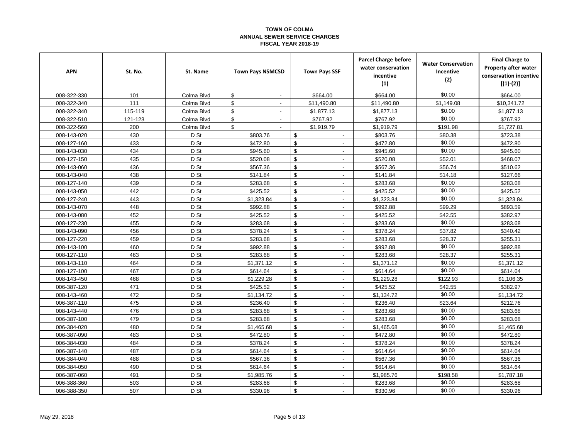| <b>APN</b>  | St. No. | St. Name   | <b>Town Pays NSMCSD</b> | <b>Town Pays SSF</b>       | <b>Parcel Charge before</b><br>water conservation<br>incentive<br>(1) | <b>Water Conservation</b><br><b>Incentive</b><br>(2) | <b>Final Charge to</b><br><b>Property after water</b><br>conservation incentive<br>$[(1)-(2)]$ |
|-------------|---------|------------|-------------------------|----------------------------|-----------------------------------------------------------------------|------------------------------------------------------|------------------------------------------------------------------------------------------------|
| 008-322-330 | 101     | Colma Blvd | \$                      | \$664.00                   | \$664.00                                                              | \$0.00                                               | \$664.00                                                                                       |
| 008-322-340 | 111     | Colma Blvd | \$                      | \$11,490.80                | \$11,490.80                                                           | \$1,149.08                                           | \$10,341.72                                                                                    |
| 008-322-340 | 115-119 | Colma Blvd | \$                      | \$1,877.13                 | \$1,877.13                                                            | \$0.00                                               | \$1,877.13                                                                                     |
| 008-322-510 | 121-123 | Colma Blvd | \$<br>$\blacksquare$    | \$767.92                   | \$767.92                                                              | \$0.00                                               | \$767.92                                                                                       |
| 008-322-560 | 200     | Colma Blvd | \$<br>$\sim$            | \$1,919.79                 | \$1,919.79                                                            | \$191.98                                             | \$1,727.81                                                                                     |
| 008-143-020 | 430     | D St       | \$803.76                | \$                         | \$803.76                                                              | \$80.38                                              | \$723.38                                                                                       |
| 008-127-160 | 433     | D St       | \$472.80                | \$<br>$\sim$               | \$472.80                                                              | \$0.00                                               | \$472.80                                                                                       |
| 008-143-030 | 434     | D St       | \$945.60                | \$<br>$\blacksquare$       | \$945.60                                                              | \$0.00                                               | \$945.60                                                                                       |
| 008-127-150 | 435     | D St       | \$520.08                | \$<br>$\overline{a}$       | \$520.08                                                              | \$52.01                                              | \$468.07                                                                                       |
| 008-143-060 | 436     | D St       | \$567.36                | \$                         | \$567.36                                                              | \$56.74                                              | \$510.62                                                                                       |
| 008-143-040 | 438     | D St       | \$141.84                | \$<br>$\sim$               | \$141.84                                                              | \$14.18                                              | \$127.66                                                                                       |
| 008-127-140 | 439     | D St       | \$283.68                | \$<br>$\blacksquare$       | \$283.68                                                              | \$0.00                                               | \$283.68                                                                                       |
| 008-143-050 | 442     | D St       | \$425.52                | \$<br>$\blacksquare$       | \$425.52                                                              | \$0.00                                               | \$425.52                                                                                       |
| 008-127-240 | 443     | D St       | \$1,323.84              | \$<br>$\blacksquare$       | \$1,323.84                                                            | \$0.00                                               | \$1,323.84                                                                                     |
| 008-143-070 | 448     | D St       | \$992.88                | \$<br>$\blacksquare$       | \$992.88                                                              | \$99.29                                              | \$893.59                                                                                       |
| 008-143-080 | 452     | D St       | \$425.52                | \$<br>$\blacksquare$       | \$425.52                                                              | \$42.55                                              | \$382.97                                                                                       |
| 008-127-230 | 455     | D St       | \$283.68                | \$<br>$\overline{a}$       | \$283.68                                                              | \$0.00                                               | \$283.68                                                                                       |
| 008-143-090 | 456     | D St       | \$378.24                | \$<br>$\blacksquare$       | \$378.24                                                              | \$37.82                                              | \$340.42                                                                                       |
| 008-127-220 | 459     | D St       | \$283.68                | \$<br>$\blacksquare$       | \$283.68                                                              | \$28.37                                              | \$255.31                                                                                       |
| 008-143-100 | 460     | D St       | \$992.88                | \$<br>$\blacksquare$       | \$992.88                                                              | \$0.00                                               | \$992.88                                                                                       |
| 008-127-110 | 463     | D St       | \$283.68                | \$<br>$\blacksquare$       | \$283.68                                                              | \$28.37                                              | \$255.31                                                                                       |
| 008-143-110 | 464     | D St       | \$1,371.12              | \$<br>$\blacksquare$       | \$1,371.12                                                            | \$0.00                                               | \$1,371.12                                                                                     |
| 008-127-100 | 467     | D St       | \$614.64                | \$<br>$\blacksquare$       | \$614.64                                                              | \$0.00                                               | \$614.64                                                                                       |
| 008-143-450 | 468     | D St       | \$1,229.28              | \$<br>$\overline{a}$       | \$1,229.28                                                            | \$122.93                                             | \$1,106.35                                                                                     |
| 006-387-120 | 471     | D St       | \$425.52                | \$<br>$\overline{a}$       | \$425.52                                                              | \$42.55                                              | \$382.97                                                                                       |
| 008-143-460 | 472     | D St       | \$1,134.72              | \$<br>$\overline{a}$       | \$1,134.72                                                            | \$0.00                                               | \$1,134.72                                                                                     |
| 006-387-110 | 475     | D St       | \$236.40                | \$<br>$\sim$               | \$236.40                                                              | \$23.64                                              | \$212.76                                                                                       |
| 008-143-440 | 476     | D St       | \$283.68                | \$<br>$\overline{a}$       | \$283.68                                                              | \$0.00                                               | \$283.68                                                                                       |
| 006-387-100 | 479     | D St       | \$283.68                | \$<br>$\overline{a}$       | \$283.68                                                              | \$0.00                                               | \$283.68                                                                                       |
| 006-384-020 | 480     | D St       | \$1,465.68              | \$<br>$\overline{a}$       | \$1,465.68                                                            | \$0.00                                               | \$1,465.68                                                                                     |
| 006-387-090 | 483     | D St       | \$472.80                | \$<br>$\sim$               | \$472.80                                                              | \$0.00                                               | \$472.80                                                                                       |
| 006-384-030 | 484     | D St       | \$378.24                | \$<br>$\overline{a}$       | \$378.24                                                              | \$0.00                                               | \$378.24                                                                                       |
| 006-387-140 | 487     | D St       | \$614.64                | \$<br>$\blacksquare$       | \$614.64                                                              | \$0.00                                               | \$614.64                                                                                       |
| 006-384-040 | 488     | D St       | \$567.36                | \$<br>$\overline{a}$       | \$567.36                                                              | \$0.00                                               | \$567.36                                                                                       |
| 006-384-050 | 490     | D St       | \$614.64                | \$<br>$\blacksquare$       | \$614.64                                                              | \$0.00                                               | \$614.64                                                                                       |
| 006-387-060 | 491     | D St       | \$1,985.76              | \$<br>$\ddot{\phantom{a}}$ | \$1,985.76                                                            | \$198.58                                             | \$1,787.18                                                                                     |
| 006-388-360 | 503     | D St       | \$283.68                | \$<br>$\blacksquare$       | \$283.68                                                              | \$0.00                                               | \$283.68                                                                                       |
| 006-388-350 | 507     | D St       | \$330.96                | \$<br>$\overline{a}$       | \$330.96                                                              | \$0.00                                               | \$330.96                                                                                       |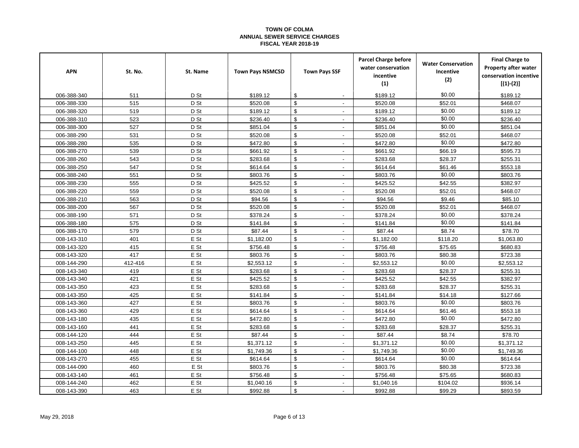| <b>APN</b>  | St. No. | St. Name | <b>Town Pays NSMCSD</b> | <b>Town Pays SSF</b>           | <b>Parcel Charge before</b><br>water conservation<br>incentive<br>(1) | <b>Water Conservation</b><br><b>Incentive</b><br>(2) | <b>Final Charge to</b><br><b>Property after water</b><br>conservation incentive<br>$[(1)-(2)]$ |
|-------------|---------|----------|-------------------------|--------------------------------|-----------------------------------------------------------------------|------------------------------------------------------|------------------------------------------------------------------------------------------------|
| 006-388-340 | 511     | D St     | \$189.12                | \$                             | \$189.12                                                              | \$0.00                                               | \$189.12                                                                                       |
| 006-388-330 | 515     | D St     | \$520.08                | \$                             | \$520.08                                                              | \$52.01                                              | \$468.07                                                                                       |
| 006-388-320 | 519     | D St     | \$189.12                | \$<br>$\overline{a}$           | \$189.12                                                              | \$0.00                                               | \$189.12                                                                                       |
| 006-388-310 | 523     | D St     | \$236.40                | \$<br>$\blacksquare$           | \$236.40                                                              | \$0.00                                               | \$236.40                                                                                       |
| 006-388-300 | 527     | D St     | \$851.04                | \$<br>$\overline{a}$           | \$851.04                                                              | \$0.00                                               | \$851.04                                                                                       |
| 006-388-290 | 531     | D St     | \$520.08                | \$<br>$\overline{a}$           | \$520.08                                                              | \$52.01                                              | \$468.07                                                                                       |
| 006-388-280 | 535     | D St     | \$472.80                | \$<br>÷.                       | \$472.80                                                              | \$0.00                                               | \$472.80                                                                                       |
| 006-388-270 | 539     | D St     | \$661.92                | \$<br>$\blacksquare$           | \$661.92                                                              | \$66.19                                              | \$595.73                                                                                       |
| 006-388-260 | 543     | D St     | \$283.68                | \$<br>$\overline{a}$           | \$283.68                                                              | \$28.37                                              | \$255.31                                                                                       |
| 006-388-250 | 547     | D St     | \$614.64                | \$<br>$\blacksquare$           | \$614.64                                                              | \$61.46                                              | \$553.18                                                                                       |
| 006-388-240 | 551     | D St     | \$803.76                | \$<br>$\overline{\phantom{a}}$ | \$803.76                                                              | \$0.00                                               | \$803.76                                                                                       |
| 006-388-230 | 555     | D St     | \$425.52                | \$<br>$\blacksquare$           | \$425.52                                                              | \$42.55                                              | \$382.97                                                                                       |
| 006-388-220 | 559     | D St     | \$520.08                | \$<br>$\blacksquare$           | \$520.08                                                              | \$52.01                                              | \$468.07                                                                                       |
| 006-388-210 | 563     | D St     | \$94.56                 | \$<br>$\blacksquare$           | \$94.56                                                               | \$9.46                                               | \$85.10                                                                                        |
| 006-388-200 | 567     | D St     | \$520.08                | \$<br>$\blacksquare$           | \$520.08                                                              | \$52.01                                              | \$468.07                                                                                       |
| 006-388-190 | 571     | D St     | \$378.24                | \$<br>$\blacksquare$           | \$378.24                                                              | \$0.00                                               | \$378.24                                                                                       |
| 006-388-180 | 575     | D St     | \$141.84                | \$<br>$\overline{a}$           | \$141.84                                                              | \$0.00                                               | \$141.84                                                                                       |
| 006-388-170 | 579     | D St     | \$87.44                 | \$<br>$\blacksquare$           | \$87.44                                                               | \$8.74                                               | \$78.70                                                                                        |
| 008-143-310 | 401     | E St     | \$1,182.00              | \$<br>$\blacksquare$           | \$1,182.00                                                            | \$118.20                                             | \$1,063.80                                                                                     |
| 008-143-320 | 415     | E St     | \$756.48                | \$<br>$\blacksquare$           | \$756.48                                                              | \$75.65                                              | \$680.83                                                                                       |
| 008-143-320 | 417     | E St     | \$803.76                | \$<br>$\blacksquare$           | \$803.76                                                              | \$80.38                                              | \$723.38                                                                                       |
| 008-144-290 | 412-416 | E St     | \$2,553.12              | \$<br>$\blacksquare$           | \$2,553.12                                                            | \$0.00                                               | \$2,553.12                                                                                     |
| 008-143-340 | 419     | E St     | \$283.68                | \$<br>$\blacksquare$           | \$283.68                                                              | \$28.37                                              | \$255.31                                                                                       |
| 008-143-340 | 421     | E St     | \$425.52                | \$<br>$\overline{a}$           | \$425.52                                                              | \$42.55                                              | \$382.97                                                                                       |
| 008-143-350 | 423     | E St     | \$283.68                | \$<br>$\overline{a}$           | \$283.68                                                              | \$28.37                                              | \$255.31                                                                                       |
| 008-143-350 | 425     | E St     | \$141.84                | \$<br>$\overline{a}$           | \$141.84                                                              | \$14.18                                              | \$127.66                                                                                       |
| 008-143-360 | 427     | E St     | \$803.76                | \$<br>$\blacksquare$           | \$803.76                                                              | \$0.00                                               | \$803.76                                                                                       |
| 008-143-360 | 429     | E St     | \$614.64                | \$<br>$\overline{a}$           | \$614.64                                                              | \$61.46                                              | \$553.18                                                                                       |
| 008-143-180 | 435     | E St     | \$472.80                | \$<br>$\overline{a}$           | \$472.80                                                              | \$0.00                                               | \$472.80                                                                                       |
| 008-143-160 | 441     | E St     | \$283.68                | \$<br>$\overline{a}$           | \$283.68                                                              | \$28.37                                              | \$255.31                                                                                       |
| 008-144-120 | 444     | E St     | \$87.44                 | \$<br>$\sim$                   | \$87.44                                                               | \$8.74                                               | \$78.70                                                                                        |
| 008-143-250 | 445     | E St     | \$1,371.12              | \$<br>$\overline{a}$           | \$1,371.12                                                            | \$0.00                                               | \$1,371.12                                                                                     |
| 008-144-100 | 448     | E St     | \$1,749.36              | \$<br>$\blacksquare$           | \$1,749.36                                                            | \$0.00                                               | \$1,749.36                                                                                     |
| 008-143-270 | 455     | E St     | \$614.64                | \$<br>$\overline{a}$           | \$614.64                                                              | \$0.00                                               | \$614.64                                                                                       |
| 008-144-090 | 460     | E St     | \$803.76                | \$<br>$\blacksquare$           | \$803.76                                                              | \$80.38                                              | \$723.38                                                                                       |
| 008-143-140 | 461     | E St     | \$756.48                | \$<br>$\ddot{\phantom{a}}$     | \$756.48                                                              | \$75.65                                              | \$680.83                                                                                       |
| 008-144-240 | 462     | E St     | \$1,040.16              | \$<br>$\blacksquare$           | \$1,040.16                                                            | \$104.02                                             | \$936.14                                                                                       |
| 008-143-390 | 463     | E St     | \$992.88                | \$<br>$\overline{a}$           | \$992.88                                                              | \$99.29                                              | \$893.59                                                                                       |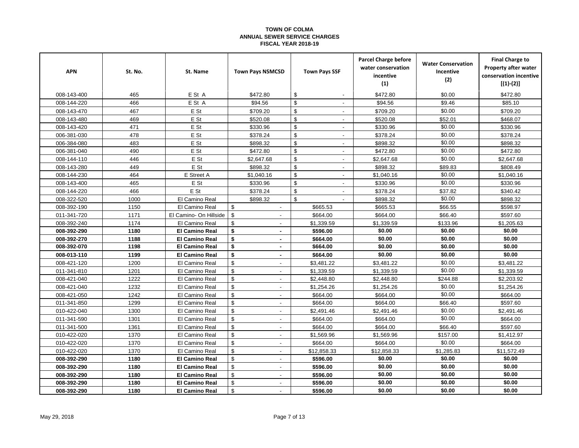| <b>APN</b>  | St. No. | St. Name               | <b>Town Pays NSMCSD</b>                    | <b>Town Pays SSF</b>           | <b>Parcel Charge before</b><br>water conservation<br>incentive<br>(1) | <b>Water Conservation</b><br><b>Incentive</b><br>(2) | <b>Final Charge to</b><br><b>Property after water</b><br>conservation incentive<br>$[(1)-(2)]$ |
|-------------|---------|------------------------|--------------------------------------------|--------------------------------|-----------------------------------------------------------------------|------------------------------------------------------|------------------------------------------------------------------------------------------------|
| 008-143-400 | 465     | E St A                 | \$472.80                                   | \$<br>$\blacksquare$           | \$472.80                                                              | \$0.00                                               | \$472.80                                                                                       |
| 008-144-220 | 466     | E St A                 | \$94.56                                    | \$<br>$\blacksquare$           | \$94.56                                                               | \$9.46                                               | \$85.10                                                                                        |
| 008-143-470 | 467     | E St                   | \$709.20                                   | \$<br>$\blacksquare$           | \$709.20                                                              | \$0.00                                               | \$709.20                                                                                       |
| 008-143-480 | 469     | E St                   | \$520.08                                   | \$<br>$\blacksquare$           | \$520.08                                                              | \$52.01                                              | \$468.07                                                                                       |
| 008-143-420 | 471     | E St                   | \$330.96                                   | \$<br>$\overline{a}$           | \$330.96                                                              | \$0.00                                               | \$330.96                                                                                       |
| 006-381-030 | 478     | E St                   | \$378.24                                   | \$<br>$\overline{a}$           | \$378.24                                                              | \$0.00                                               | \$378.24                                                                                       |
| 006-384-080 | 483     | E St                   | \$898.32                                   | \$<br>$\overline{a}$           | \$898.32                                                              | \$0.00                                               | \$898.32                                                                                       |
| 006-381-040 | 490     | E St                   | \$472.80                                   | \$<br>$\blacksquare$           | \$472.80                                                              | \$0.00                                               | \$472.80                                                                                       |
| 008-144-110 | 446     | E St                   | \$2,647.68                                 | \$<br>$\overline{a}$           | \$2,647.68                                                            | \$0.00                                               | \$2,647.68                                                                                     |
| 008-143-280 | 449     | E St                   | \$898.32                                   | \$                             | \$898.32                                                              | \$89.83                                              | \$808.49                                                                                       |
| 008-144-230 | 464     | E Street A             | \$1,040.16                                 | \$<br>$\blacksquare$           | \$1,040.16                                                            | \$0.00                                               | \$1,040.16                                                                                     |
| 008-143-400 | 465     | E St                   | \$330.96                                   | \$<br>$\blacksquare$           | \$330.96                                                              | \$0.00                                               | \$330.96                                                                                       |
| 008-144-220 | 466     | E St                   | \$378.24                                   | \$<br>$\overline{\phantom{a}}$ | \$378.24                                                              | \$37.82                                              | \$340.42                                                                                       |
| 008-322-520 | 1000    | El Camino Real         | \$898.32                                   | \$                             | \$898.32                                                              | \$0.00                                               | \$898.32                                                                                       |
| 008-392-190 | 1150    | El Camino Real         | \$<br>$\blacksquare$                       | \$665.53                       | \$665.53                                                              | \$66.55                                              | \$598.97                                                                                       |
| 011-341-720 | 1171    | El Camino- On Hillside | \$                                         | \$664.00                       | \$664.00                                                              | \$66.40                                              | \$597.60                                                                                       |
| 008-392-240 | 1174    | El Camino Real         | $\mathfrak{S}$                             | \$1,339.59                     | \$1,339.59                                                            | \$133.96                                             | \$1,205.63                                                                                     |
| 008-392-290 | 1180    | <b>El Camino Real</b>  | \$                                         | \$596.00                       | \$0.00                                                                | \$0.00                                               | \$0.00                                                                                         |
| 008-392-270 | 1188    | <b>El Camino Real</b>  | \$<br>$\blacksquare$                       | \$664.00                       | \$0.00                                                                | \$0.00                                               | \$0.00                                                                                         |
| 008-392-070 | 1198    | <b>El Camino Real</b>  | \$                                         | \$664.00                       | \$0.00                                                                | \$0.00                                               | \$0.00                                                                                         |
| 008-013-110 | 1199    | El Camino Real         | \$                                         | \$664.00                       | \$0.00                                                                | \$0.00                                               | \$0.00                                                                                         |
| 008-421-120 | 1200    | El Camino Real         | \$                                         | \$3,481.22                     | \$3,481.22                                                            | \$0.00                                               | \$3,481.22                                                                                     |
| 011-341-810 | 1201    | El Camino Real         | \$<br>$\overline{\phantom{a}}$             | \$1,339.59                     | \$1,339.59                                                            | \$0.00                                               | \$1,339.59                                                                                     |
| 008-421-040 | 1222    | El Camino Real         | $\mathfrak{S}$<br>$\sim$                   | \$2,448.80                     | \$2,448.80                                                            | \$244.88                                             | \$2,203.92                                                                                     |
| 008-421-040 | 1232    | El Camino Real         | \$                                         | \$1,254.26                     | \$1,254.26                                                            | \$0.00                                               | \$1,254.26                                                                                     |
| 008-421-050 | 1242    | El Camino Real         | \$<br>$\overline{a}$                       | \$664.00                       | \$664.00                                                              | \$0.00                                               | \$664.00                                                                                       |
| 011-341-850 | 1299    | El Camino Real         | \$<br>$\overline{\phantom{a}}$             | \$664.00                       | \$664.00                                                              | \$66.40                                              | \$597.60                                                                                       |
| 010-422-040 | 1300    | El Camino Real         | $\mathfrak{S}$<br>$\overline{\phantom{a}}$ | \$2,491.46                     | \$2,491.46                                                            | \$0.00                                               | \$2,491.46                                                                                     |
| 011-341-590 | 1301    | El Camino Real         | \$                                         | \$664.00                       | \$664.00                                                              | \$0.00                                               | \$664.00                                                                                       |
| 011-341-500 | 1361    | El Camino Real         | \$<br>$\sim$                               | \$664.00                       | \$664.00                                                              | \$66.40                                              | \$597.60                                                                                       |
| 010-422-020 | 1370    | El Camino Real         | \$<br>$\blacksquare$                       | \$1,569.96                     | \$1,569.96                                                            | \$157.00                                             | \$1,412.97                                                                                     |
| 010-422-020 | 1370    | El Camino Real         | \$<br>$\overline{\phantom{a}}$             | \$664.00                       | \$664.00                                                              | \$0.00                                               | \$664.00                                                                                       |
| 010-422-020 | 1370    | El Camino Real         | \$                                         | \$12,858.33                    | \$12,858.33                                                           | \$1,285.83                                           | \$11,572.49                                                                                    |
| 008-392-290 | 1180    | <b>El Camino Real</b>  | $\mathfrak{S}$<br>$\sim$                   | \$596.00                       | \$0.00                                                                | \$0.00                                               | \$0.00                                                                                         |
| 008-392-290 | 1180    | <b>El Camino Real</b>  | \$<br>$\blacksquare$                       | \$596.00                       | \$0.00                                                                | \$0.00                                               | \$0.00                                                                                         |
| 008-392-290 | 1180    | El Camino Real         | \$<br>$\sim$                               | \$596.00                       | \$0.00                                                                | \$0.00                                               | \$0.00                                                                                         |
| 008-392-290 | 1180    | El Camino Real         | \$                                         | \$596.00                       | \$0.00                                                                | \$0.00                                               | \$0.00                                                                                         |
| 008-392-290 | 1180    | <b>El Camino Real</b>  | \$                                         | \$596.00                       | \$0.00                                                                | \$0.00                                               | \$0.00                                                                                         |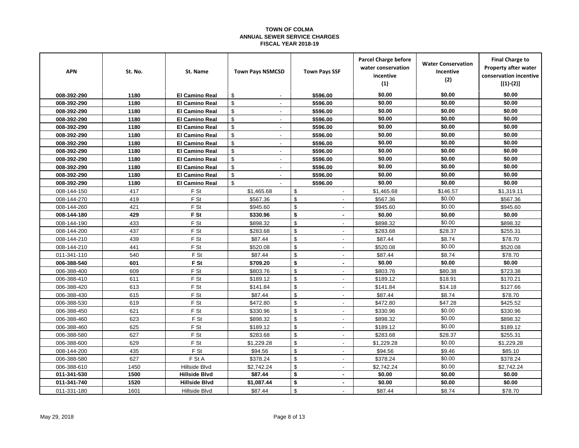| <b>APN</b>  | St. No. | St. Name              | <b>Town Pays NSMCSD</b>               | <b>Town Pays SSF</b>           | <b>Parcel Charge before</b><br>water conservation<br>incentive<br>(1) | <b>Water Conservation</b><br><b>Incentive</b><br>(2) | <b>Final Charge to</b><br><b>Property after water</b><br>conservation incentive<br>$[(1)-(2)]$ |
|-------------|---------|-----------------------|---------------------------------------|--------------------------------|-----------------------------------------------------------------------|------------------------------------------------------|------------------------------------------------------------------------------------------------|
| 008-392-290 | 1180    | <b>El Camino Real</b> | \$                                    | \$596.00                       | \$0.00                                                                | \$0.00                                               | \$0.00                                                                                         |
| 008-392-290 | 1180    | <b>El Camino Real</b> | $\sqrt[6]{\frac{1}{2}}$               | \$596.00                       | \$0.00                                                                | \$0.00                                               | \$0.00                                                                                         |
| 008-392-290 | 1180    | <b>El Camino Real</b> | \$                                    | \$596.00                       | \$0.00                                                                | \$0.00                                               | \$0.00                                                                                         |
| 008-392-290 | 1180    | <b>El Camino Real</b> | $\,$<br>$\blacksquare$                | \$596.00                       | \$0.00                                                                | \$0.00                                               | \$0.00                                                                                         |
| 008-392-290 | 1180    | <b>El Camino Real</b> | \$<br>$\sim$                          | \$596.00                       | \$0.00                                                                | \$0.00                                               | \$0.00                                                                                         |
| 008-392-290 | 1180    | <b>El Camino Real</b> | $\sqrt[6]{\frac{1}{2}}$               | \$596.00                       | \$0.00                                                                | \$0.00                                               | \$0.00                                                                                         |
| 008-392-290 | 1180    | <b>El Camino Real</b> | $\mathfrak s$<br>$\ddot{\phantom{a}}$ | \$596.00                       | \$0.00                                                                | \$0.00                                               | \$0.00                                                                                         |
| 008-392-290 | 1180    | <b>El Camino Real</b> | $\sqrt[6]{\frac{1}{2}}$<br>$\sim$     | \$596.00                       | \$0.00                                                                | \$0.00                                               | \$0.00                                                                                         |
| 008-392-290 | 1180    | <b>El Camino Real</b> | $\sqrt[6]{\frac{1}{2}}$<br>$\sim$     | \$596.00                       | \$0.00                                                                | \$0.00                                               | \$0.00                                                                                         |
| 008-392-290 | 1180    | <b>El Camino Real</b> | \$                                    | \$596.00                       | \$0.00                                                                | \$0.00                                               | \$0.00                                                                                         |
| 008-392-290 | 1180    | <b>El Camino Real</b> | $\mathfrak s$<br>$\sim$               | \$596.00                       | \$0.00                                                                | \$0.00                                               | \$0.00                                                                                         |
| 008-392-290 | 1180    | <b>El Camino Real</b> | $\mathfrak s$                         | \$596.00                       | \$0.00                                                                | \$0.00                                               | \$0.00                                                                                         |
| 008-144-150 | 417     | F St                  | \$1,465.68                            | \$<br>$\blacksquare$           | \$1,465.68                                                            | \$146.57                                             | \$1,319.11                                                                                     |
| 008-144-270 | 419     | F St                  | \$567.36                              | \$                             | \$567.36                                                              | \$0.00                                               | \$567.36                                                                                       |
| 008-144-260 | 421     | F St                  | \$945.60                              | \$<br>$\sim$                   | \$945.60                                                              | \$0.00                                               | \$945.60                                                                                       |
| 008-144-180 | 429     | F St                  | \$330.96                              | \$<br>$\blacksquare$           | \$0.00                                                                | \$0.00                                               | \$0.00                                                                                         |
| 008-144-190 | 433     | F St                  | \$898.32                              | \$<br>$\blacksquare$           | \$898.32                                                              | \$0.00                                               | \$898.32                                                                                       |
| 008-144-200 | 437     | F St                  | \$283.68                              | \$<br>$\blacksquare$           | \$283.68                                                              | \$28.37                                              | \$255.31                                                                                       |
| 008-144-210 | 439     | F St                  | \$87.44                               | \$<br>$\overline{\phantom{a}}$ | \$87.44                                                               | \$8.74                                               | \$78.70                                                                                        |
| 008-144-210 | 441     | F St                  | \$520.08                              | \$<br>$\sim$                   | \$520.08                                                              | \$0.00                                               | \$520.08                                                                                       |
| 011-341-110 | 540     | F St                  | \$87.44                               | \$<br>$\blacksquare$           | \$87.44                                                               | \$8.74                                               | \$78.70                                                                                        |
| 006-388-540 | 601     | F St                  | \$709.20                              | \$<br>$\blacksquare$           | \$0.00                                                                | \$0.00                                               | \$0.00                                                                                         |
| 006-388-400 | 609     | F St                  | \$803.76                              | \$<br>$\blacksquare$           | \$803.76                                                              | \$80.38                                              | \$723.38                                                                                       |
| 006-388-410 | 611     | F St                  | \$189.12                              | \$<br>$\blacksquare$           | \$189.12                                                              | \$18.91                                              | \$170.21                                                                                       |
| 006-388-420 | 613     | F St                  | \$141.84                              | \$<br>$\blacksquare$           | \$141.84                                                              | \$14.18                                              | \$127.66                                                                                       |
| 006-388-430 | 615     | F St                  | \$87.44                               | \$<br>$\blacksquare$           | \$87.44                                                               | \$8.74                                               | \$78.70                                                                                        |
| 006-388-530 | 619     | F St                  | \$472.80                              | \$<br>$\overline{\phantom{a}}$ | \$472.80                                                              | \$47.28                                              | \$425.52                                                                                       |
| 006-388-450 | 621     | F St                  | \$330.96                              | \$<br>$\blacksquare$           | \$330.96                                                              | \$0.00                                               | \$330.96                                                                                       |
| 006-388-460 | 623     | F St                  | \$898.32                              | \$<br>$\blacksquare$           | \$898.32                                                              | \$0.00                                               | \$898.32                                                                                       |
| 006-388-460 | 625     | F St                  | \$189.12                              | \$<br>$\blacksquare$           | \$189.12                                                              | \$0.00                                               | \$189.12                                                                                       |
| 006-388-580 | 627     | F St                  | \$283.68                              | \$<br>$\overline{\phantom{a}}$ | \$283.68                                                              | \$28.37                                              | \$255.31                                                                                       |
| 006-388-600 | 629     | F St                  | \$1,229.28                            | \$<br>$\blacksquare$           | \$1,229.28                                                            | \$0.00                                               | \$1,229.28                                                                                     |
| 008-144-200 | 435     | F St                  | \$94.56                               | \$<br>$\overline{\phantom{a}}$ | \$94.56                                                               | \$9.46                                               | \$85.10                                                                                        |
| 006-388-580 | 627     | F St A                | \$378.24                              | \$<br>$\blacksquare$           | \$378.24                                                              | \$0.00                                               | \$378.24                                                                                       |
| 006-388-610 | 1450    | Hillside Blvd         | \$2,742.24                            | \$<br>$\overline{\phantom{a}}$ | \$2,742.24                                                            | \$0.00                                               | \$2,742.24                                                                                     |
| 011-341-530 | 1500    | <b>Hillside Blvd</b>  | \$87.44                               | \$<br>$\blacksquare$           | \$0.00                                                                | \$0.00                                               | \$0.00                                                                                         |
| 011-341-740 | 1520    | <b>Hillside Blvd</b>  | \$1,087.44                            | \$<br>$\blacksquare$           | \$0.00                                                                | \$0.00                                               | \$0.00                                                                                         |
| 011-331-180 | 1601    | Hillside Blvd         | \$87.44                               | $\mathbb{S}$                   | \$87.44                                                               | \$8.74                                               | \$78.70                                                                                        |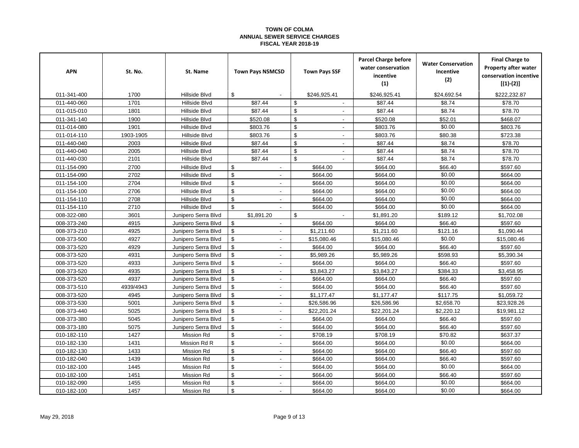| <b>APN</b>  | St. No.   | St. Name            |                | <b>Town Pays NSMCSD</b>  | <b>Town Pays SSF</b>           | <b>Parcel Charge before</b><br>water conservation<br>incentive<br>(1) | <b>Water Conservation</b><br><b>Incentive</b><br>(2) | <b>Final Charge to</b><br><b>Property after water</b><br>conservation incentive<br>$[(1)-(2)]$ |
|-------------|-----------|---------------------|----------------|--------------------------|--------------------------------|-----------------------------------------------------------------------|------------------------------------------------------|------------------------------------------------------------------------------------------------|
| 011-341-400 | 1700      | Hillside Blvd       | \$             |                          | \$246,925.41                   | \$246,925.41                                                          | \$24,692.54                                          | \$222,232.87                                                                                   |
| 011-440-060 | 1701      | Hillside Blvd       |                | \$87.44                  | \$                             | \$87.44                                                               | \$8.74                                               | \$78.70                                                                                        |
| 011-015-010 | 1801      | Hillside Blvd       |                | \$87.44                  | \$<br>$\blacksquare$           | \$87.44                                                               | \$8.74                                               | \$78.70                                                                                        |
| 011-341-140 | 1900      | Hillside Blvd       |                | \$520.08                 | \$<br>$\blacksquare$           | \$520.08                                                              | \$52.01                                              | \$468.07                                                                                       |
| 011-014-080 | 1901      | Hillside Blvd       |                | \$803.76                 | \$<br>$\overline{a}$           | \$803.76                                                              | \$0.00                                               | \$803.76                                                                                       |
| 011-014-110 | 1903-1905 | Hillside Blvd       |                | \$803.76                 | \$<br>$\blacksquare$           | \$803.76                                                              | \$80.38                                              | \$723.38                                                                                       |
| 011-440-040 | 2003      | Hillside Blvd       |                | \$87.44                  | \$<br>$\overline{a}$           | \$87.44                                                               | \$8.74                                               | \$78.70                                                                                        |
| 011-440-040 | 2005      | Hillside Blvd       |                | \$87.44                  | \$<br>$\blacksquare$           | \$87.44                                                               | \$8.74                                               | \$78.70                                                                                        |
| 011-440-030 | 2101      | Hillside Blvd       |                | \$87.44                  | \$<br>$\overline{\phantom{a}}$ | \$87.44                                                               | \$8.74                                               | \$78.70                                                                                        |
| 011-154-090 | 2700      | Hillside Blvd       | \$             |                          | \$664.00                       | \$664.00                                                              | \$66.40                                              | \$597.60                                                                                       |
| 011-154-090 | 2702      | Hillside Blvd       | \$             | $\sim$                   | \$664.00                       | \$664.00                                                              | \$0.00                                               | \$664.00                                                                                       |
| 011-154-100 | 2704      | Hillside Blvd       | \$             |                          | \$664.00                       | \$664.00                                                              | \$0.00                                               | \$664.00                                                                                       |
| 011-154-100 | 2706      | Hillside Blvd       | \$             | $\overline{\phantom{a}}$ | \$664.00                       | \$664.00                                                              | \$0.00                                               | \$664.00                                                                                       |
| 011-154-110 | 2708      | Hillside Blvd       | \$             |                          | \$664.00                       | \$664.00                                                              | \$0.00                                               | \$664.00                                                                                       |
| 011-154-110 | 2710      | Hillside Blvd       | \$             | $\overline{\phantom{a}}$ | \$664.00                       | \$664.00                                                              | \$0.00                                               | \$664.00                                                                                       |
| 008-322-080 | 3601      | Junipero Serra Blvd |                | \$1,891.20               | \$                             | \$1,891.20                                                            | \$189.12                                             | \$1,702.08                                                                                     |
| 008-373-240 | 4915      | Junipero Serra Blvd | \$             | $\overline{\phantom{a}}$ | \$664.00                       | \$664.00                                                              | \$66.40                                              | \$597.60                                                                                       |
| 008-373-210 | 4925      | Junipero Serra Blvd | \$             |                          | \$1,211.60                     | \$1,211.60                                                            | \$121.16                                             | \$1,090.44                                                                                     |
| 008-373-500 | 4927      | Junipero Serra Blvd | \$             | $\overline{\phantom{a}}$ | \$15,080.46                    | \$15,080.46                                                           | \$0.00                                               | \$15,080.46                                                                                    |
| 008-373-520 | 4929      | Junipero Serra Blvd | \$             |                          | \$664.00                       | \$664.00                                                              | \$66.40                                              | \$597.60                                                                                       |
| 008-373-520 | 4931      | Junipero Serra Blvd | \$             |                          | \$5,989.26                     | \$5,989.26                                                            | \$598.93                                             | \$5,390.34                                                                                     |
| 008-373-520 | 4933      | Junipero Serra Blvd | \$             |                          | \$664.00                       | \$664.00                                                              | \$66.40                                              | \$597.60                                                                                       |
| 008-373-520 | 4935      | Junipero Serra Blvd | \$             | $\sim$                   | \$3,843.27                     | \$3,843.27                                                            | \$384.33                                             | \$3,458.95                                                                                     |
| 008-373-520 | 4937      | Junipero Serra Blvd | \$             | $\overline{\phantom{a}}$ | \$664.00                       | \$664.00                                                              | \$66.40                                              | \$597.60                                                                                       |
| 008-373-510 | 4939/4943 | Junipero Serra Blvd | $\mathbb S$    |                          | \$664.00                       | \$664.00                                                              | \$66.40                                              | \$597.60                                                                                       |
| 008-373-520 | 4945      | Junipero Serra Blvd | \$             | $\sim$                   | \$1,177.47                     | \$1,177.47                                                            | \$117.75                                             | \$1,059.72                                                                                     |
| 008-373-530 | 5001      | Junipero Serra Blvd | \$             | $\sim$                   | \$26,586.96                    | \$26,586.96                                                           | \$2,658.70                                           | \$23,928.26                                                                                    |
| 008-373-440 | 5025      | Junipero Serra Blvd | \$             | $\overline{\phantom{a}}$ | \$22,201.24                    | \$22,201.24                                                           | \$2,220.12                                           | \$19,981.12                                                                                    |
| 008-373-380 | 5045      | Junipero Serra Blvd | $\mathbb{S}$   |                          | \$664.00                       | \$664.00                                                              | \$66.40                                              | \$597.60                                                                                       |
| 008-373-180 | 5075      | Junipero Serra Blvd | \$             | $\overline{a}$           | \$664.00                       | \$664.00                                                              | \$66.40                                              | \$597.60                                                                                       |
| 010-182-110 | 1427      | Mission Rd          | $\,$           | $\overline{a}$           | \$708.19                       | \$708.19                                                              | \$70.82                                              | \$637.37                                                                                       |
| 010-182-130 | 1431      | Mission Rd R        | $$\mathbb{S}$$ | $\overline{\phantom{a}}$ | \$664.00                       | \$664.00                                                              | \$0.00                                               | \$664.00                                                                                       |
| 010-182-130 | 1433      | Mission Rd          | \$             |                          | \$664.00                       | \$664.00                                                              | \$66.40                                              | \$597.60                                                                                       |
| 010-182-040 | 1439      | Mission Rd          | \$             |                          | \$664.00                       | \$664.00                                                              | \$66.40                                              | \$597.60                                                                                       |
| 010-182-100 | 1445      | Mission Rd          | \$             | $\overline{\phantom{a}}$ | \$664.00                       | \$664.00                                                              | \$0.00                                               | \$664.00                                                                                       |
| 010-182-100 | 1451      | Mission Rd          | \$             | $\overline{\phantom{a}}$ | \$664.00                       | \$664.00                                                              | \$66.40                                              | \$597.60                                                                                       |
| 010-182-090 | 1455      | <b>Mission Rd</b>   | \$             |                          | \$664.00                       | \$664.00                                                              | \$0.00                                               | \$664.00                                                                                       |
| 010-182-100 | 1457      | Mission Rd          | $\,$           |                          | \$664.00                       | \$664.00                                                              | \$0.00                                               | \$664.00                                                                                       |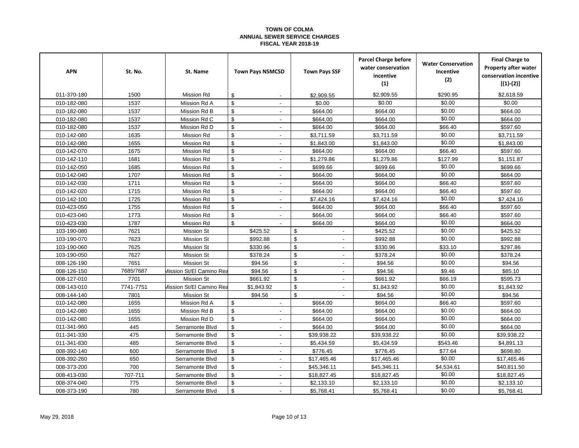| <b>APN</b>  | St. No.   | St. Name                 |                         | <b>Town Pays NSMCSD</b>  | <b>Town Pays SSF</b>           | <b>Parcel Charge before</b><br>water conservation<br>incentive<br>(1) | <b>Water Conservation</b><br><b>Incentive</b><br>(2) | <b>Final Charge to</b><br><b>Property after water</b><br>conservation incentive<br>$[(1)-(2)]$ |
|-------------|-----------|--------------------------|-------------------------|--------------------------|--------------------------------|-----------------------------------------------------------------------|------------------------------------------------------|------------------------------------------------------------------------------------------------|
| 011-370-180 | 1500      | <b>Mission Rd</b>        | \$                      |                          | \$2,909.55                     | \$2,909.55                                                            | \$290.95                                             | \$2,618.59                                                                                     |
| 010-182-080 | 1537      | Mission Rd A             | $\sqrt{2}$              |                          | \$0.00                         | \$0.00                                                                | \$0.00                                               | \$0.00                                                                                         |
| 010-182-080 | 1537      | Mission Rd B             | $\$$                    |                          | \$664.00                       | \$664.00                                                              | \$0.00                                               | \$664.00                                                                                       |
| 010-182-080 | 1537      | Mission Rd C             | $\,$                    | $\overline{\phantom{a}}$ | \$664.00                       | \$664.00                                                              | \$0.00                                               | \$664.00                                                                                       |
| 010-182-080 | 1537      | Mission Rd D             | $\$$                    |                          | \$664.00                       | \$664.00                                                              | \$66.40                                              | \$597.60                                                                                       |
| 010-142-080 | 1635      | Mission Rd               | $\sqrt{2}$              |                          | \$3,711.59                     | \$3,711.59                                                            | \$0.00                                               | \$3,711.59                                                                                     |
| 010-142-080 | 1655      | Mission Rd               | $\sqrt[6]{\frac{1}{2}}$ |                          | \$1,843.00                     | \$1,843.00                                                            | \$0.00                                               | \$1,843.00                                                                                     |
| 010-142-070 | 1675      | Mission Rd               | \$                      |                          | \$664.00                       | \$664.00                                                              | \$66.40                                              | \$597.60                                                                                       |
| 010-142-110 | 1681      | Mission Rd               | $\$$                    |                          | \$1,279.86                     | \$1,279.86                                                            | \$127.99                                             | \$1,151.87                                                                                     |
| 010-142-050 | 1685      | Mission Rd               | $\sqrt[6]{\frac{1}{2}}$ |                          | \$699.66                       | \$699.66                                                              | \$0.00                                               | \$699.66                                                                                       |
| 010-142-040 | 1707      | Mission Rd               | $\sqrt[6]{\frac{1}{2}}$ | $\sim$                   | \$664.00                       | \$664.00                                                              | \$0.00                                               | \$664.00                                                                                       |
| 010-142-030 | 1711      | Mission Rd               | \$                      |                          | \$664.00                       | \$664.00                                                              | \$66.40                                              | \$597.60                                                                                       |
| 010-142-020 | 1715      | Mission Rd               | \$                      | $\overline{\phantom{a}}$ | \$664.00                       | \$664.00                                                              | \$66.40                                              | \$597.60                                                                                       |
| 010-142-100 | 1725      | Mission Rd               | $\sqrt{2}$              |                          | \$7,424.16                     | \$7,424.16                                                            | \$0.00                                               | \$7,424.16                                                                                     |
| 010-423-050 | 1755      | Mission Rd               | $\sqrt[6]{\frac{1}{2}}$ | $\overline{\phantom{a}}$ | \$664.00                       | \$664.00                                                              | \$66.40                                              | \$597.60                                                                                       |
| 010-423-040 | 1773      | Mission Rd               | $\sqrt{2}$              |                          | \$664.00                       | \$664.00                                                              | \$66.40                                              | \$597.60                                                                                       |
| 010-423-030 | 1787      | Mission Rd               | $\mathfrak{s}$          |                          | \$664.00                       | \$664.00                                                              | \$0.00                                               | \$664.00                                                                                       |
| 103-190-080 | 7621      | <b>Mission St</b>        |                         | \$425.52                 | \$                             | \$425.52                                                              | \$0.00                                               | \$425.52                                                                                       |
| 103-190-070 | 7623      | <b>Mission St</b>        |                         | \$992.88                 | \$<br>$\overline{\phantom{a}}$ | \$992.88                                                              | \$0.00                                               | \$992.88                                                                                       |
| 103-190-060 | 7625      | Mission St               |                         | \$330.96                 | \$<br>$\overline{\phantom{0}}$ | \$330.96                                                              | \$33.10                                              | \$297.86                                                                                       |
| 103-190-050 | 7627      | <b>Mission St</b>        |                         | \$378.24                 | \$<br>$\overline{\phantom{a}}$ | \$378.24                                                              | \$0.00                                               | \$378.24                                                                                       |
| 008-126-190 | 7651      | <b>Mission St</b>        |                         | \$94.56                  | \$<br>$\blacksquare$           | \$94.56                                                               | \$0.00                                               | \$94.56                                                                                        |
| 008-126-150 | 7685/7687 | Aission St/El Camino Rea |                         | \$94.56                  | \$<br>$\overline{\phantom{a}}$ | \$94.56                                                               | \$9.46                                               | \$85.10                                                                                        |
| 008-127-010 | 7701      | <b>Mission St</b>        |                         | \$661.92                 | \$<br>$\sim$                   | \$661.92                                                              | \$66.19                                              | \$595.73                                                                                       |
| 008-143-010 | 7741-7751 | lission St/El Camino Rea |                         | \$1,843.92               | \$                             | \$1,843.92                                                            | \$0.00                                               | \$1,843.92                                                                                     |
| 008-144-140 | 7801      | <b>Mission St</b>        |                         | \$94.56                  | \$                             | \$94.56                                                               | \$0.00                                               | \$94.56                                                                                        |
| 010-142-080 | 1655      | Mission Rd A             | \$                      | $\overline{\phantom{a}}$ | \$664.00                       | \$664.00                                                              | \$66.40                                              | \$597.60                                                                                       |
| 010-142-080 | 1655      | Mission Rd B             | \$                      |                          | \$664.00                       | \$664.00                                                              | \$0.00                                               | \$664.00                                                                                       |
| 010-142-080 | 1655      | Mission Rd D             | $\sqrt[6]{\frac{1}{2}}$ |                          | \$664.00                       | \$664.00                                                              | \$0.00                                               | \$664.00                                                                                       |
| 011-341-960 | 445       | Serramonte Blvd          | $\sqrt{2}$              |                          | \$664.00                       | \$664.00                                                              | \$0.00                                               | \$664.00                                                                                       |
| 011-341-330 | 475       | Serramonte Blvd          | $$\mathbb{S}$$          | $\overline{\phantom{a}}$ | \$39,938.22                    | \$39,938.22                                                           | \$0.00                                               | \$39,938.22                                                                                    |
| 011-341-830 | 485       | Serramonte Blvd          | \$                      |                          | \$5,434.59                     | \$5,434.59                                                            | \$543.46                                             | \$4,891.13                                                                                     |
| 008-392-140 | 600       | Serramonte Blvd          | $\sqrt{2}$              |                          | \$776.45                       | \$776.45                                                              | \$77.64                                              | \$698.80                                                                                       |
| 008-392-260 | 650       | Serramonte Blvd          | $\,$                    |                          | \$17,465.46                    | \$17,465.46                                                           | \$0.00                                               | \$17,465.46                                                                                    |
| 008-373-200 | 700       | Serramonte Blvd          | $\,$                    | $\blacksquare$           | \$45,346.11                    | \$45,346.11                                                           | \$4,534.61                                           | \$40,811.50                                                                                    |
| 008-413-030 | 707-711   | Serramonte Blvd          | \$                      |                          | \$18,827.45                    | \$18,827.45                                                           | \$0.00                                               | \$18,827.45                                                                                    |
| 008-374-040 | 775       | Serramonte Blvd          | $\sqrt[6]{\frac{1}{2}}$ |                          | \$2,133.10                     | \$2,133.10                                                            | \$0.00                                               | \$2,133.10                                                                                     |
| 008-373-190 | 780       | Serramonte Blvd          | $\sqrt[6]{\frac{1}{2}}$ |                          | \$5,768.41                     | \$5,768.41                                                            | \$0.00                                               | \$5,768.41                                                                                     |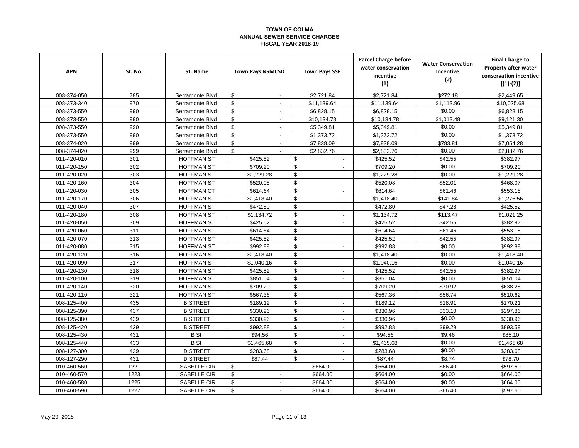| <b>APN</b>  | St. No. | <b>St. Name</b>     | <b>Town Pays NSMCSD</b>                             | <b>Town Pays SSF</b>            | <b>Parcel Charge before</b><br>water conservation<br>incentive<br>(1) | <b>Water Conservation</b><br><b>Incentive</b><br>(2) | <b>Final Charge to</b><br><b>Property after water</b><br>conservation incentive<br>$[(1)-(2)]$ |
|-------------|---------|---------------------|-----------------------------------------------------|---------------------------------|-----------------------------------------------------------------------|------------------------------------------------------|------------------------------------------------------------------------------------------------|
| 008-374-050 | 785     | Serramonte Blvd     | \$                                                  | \$2,721.84                      | \$2,721.84                                                            | \$272.18                                             | \$2,449.65                                                                                     |
| 008-373-340 | 970     | Serramonte Blvd     | $$\mathbb{S}$$                                      | \$11,139.64                     | \$11,139.64                                                           | \$1,113.96                                           | \$10,025.68                                                                                    |
| 008-373-550 | 990     | Serramonte Blvd     | $\sqrt[6]{\frac{1}{2}}$                             | \$6,828.15                      | \$6,828.15                                                            | \$0.00                                               | \$6,828.15                                                                                     |
| 008-373-550 | 990     | Serramonte Blvd     | $\,$<br>$\overline{\phantom{a}}$                    | \$10,134.78                     | \$10,134.78                                                           | \$1,013.48                                           | \$9,121.30                                                                                     |
| 008-373-550 | 990     | Serramonte Blvd     | $\,$<br>$\overline{a}$                              | \$5,349.81                      | \$5,349.81                                                            | \$0.00                                               | \$5,349.81                                                                                     |
| 008-373-550 | 990     | Serramonte Blvd     | $$\mathbb{S}$$                                      | \$1,373.72                      | \$1,373.72                                                            | \$0.00                                               | \$1,373.72                                                                                     |
| 008-374-020 | 999     | Serramonte Blvd     | \$                                                  | \$7,838.09                      | \$7,838.09                                                            | \$783.81                                             | \$7,054.28                                                                                     |
| 008-374-020 | 999     | Serramonte Blvd     | $$\mathbb{S}$$                                      | \$2,832.76                      | \$2,832.76                                                            | \$0.00                                               | \$2,832.76                                                                                     |
| 011-420-010 | 301     | <b>HOFFMAN ST</b>   | \$425.52                                            | \$<br>$\overline{\phantom{a}}$  | \$425.52                                                              | \$42.55                                              | \$382.97                                                                                       |
| 011-420-150 | 302     | <b>HOFFMAN ST</b>   | \$709.20                                            | \$                              | \$709.20                                                              | \$0.00                                               | \$709.20                                                                                       |
| 011-420-020 | 303     | <b>HOFFMAN ST</b>   | \$1,229.28                                          | \$<br>$\blacksquare$            | \$1,229.28                                                            | \$0.00                                               | \$1,229.28                                                                                     |
| 011-420-160 | 304     | <b>HOFFMAN ST</b>   | \$520.08                                            | \$<br>$\blacksquare$            | \$520.08                                                              | \$52.01                                              | \$468.07                                                                                       |
| 011-420-030 | 305     | <b>HOFFMAN CT</b>   | \$614.64                                            | \$<br>$\sim$                    | \$614.64                                                              | \$61.46                                              | \$553.18                                                                                       |
| 011-420-170 | 306     | <b>HOFFMAN ST</b>   | \$1,418.40                                          | \$<br>$\overline{a}$            | \$1,418.40                                                            | \$141.84                                             | \$1,276.56                                                                                     |
| 011-420-040 | 307     | <b>HOFFMAN ST</b>   | \$472.80                                            | \$<br>$\overline{\phantom{a}}$  | \$472.80                                                              | \$47.28                                              | \$425.52                                                                                       |
| 011-420-180 | 308     | <b>HOFFMAN ST</b>   | \$1,134.72                                          | \$<br>$\blacksquare$            | \$1,134.72                                                            | \$113.47                                             | \$1,021.25                                                                                     |
| 011-420-050 | 309     | <b>HOFFMAN ST</b>   | \$425.52                                            | \$<br>$\overline{\phantom{a}}$  | \$425.52                                                              | \$42.55                                              | \$382.97                                                                                       |
| 011-420-060 | 311     | <b>HOFFMAN ST</b>   | \$614.64                                            | \$<br>$\overline{a}$            | \$614.64                                                              | \$61.46                                              | \$553.18                                                                                       |
| 011-420-070 | 313     | <b>HOFFMAN ST</b>   | \$425.52                                            | \$<br>$\overline{\phantom{a}}$  | \$425.52                                                              | \$42.55                                              | \$382.97                                                                                       |
| 011-420-080 | 315     | <b>HOFFMAN ST</b>   | \$992.88                                            | \$<br>$\blacksquare$            | \$992.88                                                              | \$0.00                                               | \$992.88                                                                                       |
| 011-420-120 | 316     | <b>HOFFMAN ST</b>   | \$1,418.40                                          | \$<br>$\overline{\phantom{a}}$  | \$1,418.40                                                            | \$0.00                                               | \$1,418.40                                                                                     |
| 011-420-090 | 317     | <b>HOFFMAN ST</b>   | \$1,040.16                                          | \$<br>$\overline{a}$            | \$1,040.16                                                            | \$0.00                                               | \$1,040.16                                                                                     |
| 011-420-130 | 318     | <b>HOFFMAN ST</b>   | \$425.52                                            | \$<br>$\overline{\phantom{a}}$  | \$425.52                                                              | \$42.55                                              | \$382.97                                                                                       |
| 011-420-100 | 319     | <b>HOFFMAN ST</b>   | \$851.04                                            | \$<br>$\overline{a}$            | \$851.04                                                              | \$0.00                                               | \$851.04                                                                                       |
| 011-420-140 | 320     | <b>HOFFMAN ST</b>   | \$709.20                                            | \$<br>$\sim$                    | \$709.20                                                              | \$70.92                                              | \$638.28                                                                                       |
| 011-420-110 | 321     | <b>HOFFMAN ST</b>   | \$567.36                                            | \$<br>$\overline{a}$            | \$567.36                                                              | \$56.74                                              | \$510.62                                                                                       |
| 008-125-400 | 435     | <b>B STREET</b>     | \$189.12                                            | \$<br>$\overline{\phantom{a}}$  | \$189.12                                                              | \$18.91                                              | \$170.21                                                                                       |
| 008-125-390 | 437     | <b>B STREET</b>     | \$330.96                                            | \$<br>$\sim$                    | \$330.96                                                              | \$33.10                                              | \$297.86                                                                                       |
| 008-125-380 | 439     | <b>B STREET</b>     | \$330.96                                            | \$<br>$\overline{\phantom{a}}$  | \$330.96                                                              | \$0.00                                               | \$330.96                                                                                       |
| 008-125-420 | 429     | <b>B STREET</b>     | \$992.88                                            | \$<br>$\blacksquare$            | \$992.88                                                              | \$99.29                                              | \$893.59                                                                                       |
| 008-125-430 | 431     | <b>B</b> St         | \$94.56                                             | \$<br>$\blacksquare$            | \$94.56                                                               | \$9.46                                               | \$85.10                                                                                        |
| 008-125-440 | 433     | <b>B</b> St         | \$1,465.68                                          | \$<br>$\overline{\phantom{a}}$  | \$1,465.68                                                            | \$0.00                                               | \$1,465.68                                                                                     |
| 008-127-300 | 429     | <b>D STREET</b>     | \$283.68                                            | \$                              | \$283.68                                                              | \$0.00                                               | \$283.68                                                                                       |
| 008-127-290 | 431     | <b>D STREET</b>     | \$87.44                                             | \$<br>$\mathbb{Z}^{\mathbb{Z}}$ | \$87.44                                                               | \$8.74                                               | \$78.70                                                                                        |
| 010-460-560 | 1221    | <b>ISABELLE CIR</b> | $\$$                                                | \$664.00                        | \$664.00                                                              | \$66.40                                              | \$597.60                                                                                       |
| 010-460-570 | 1223    | <b>ISABELLE CIR</b> | \$                                                  | \$664.00                        | \$664.00                                                              | \$0.00                                               | \$664.00                                                                                       |
| 010-460-580 | 1225    | <b>ISABELLE CIR</b> | $\sqrt[6]{\frac{1}{2}}$                             | \$664.00                        | \$664.00                                                              | \$0.00                                               | \$664.00                                                                                       |
| 010-460-590 | 1227    | <b>ISABELLE CIR</b> | $\sqrt[6]{\frac{1}{2}}$<br>$\overline{\phantom{a}}$ | \$664.00                        | \$664.00                                                              | \$66.40                                              | \$597.60                                                                                       |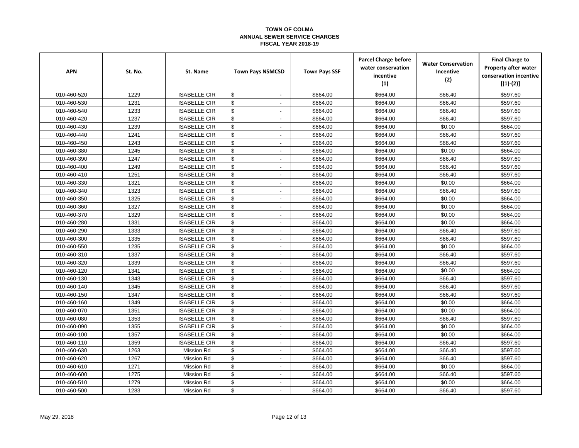| <b>APN</b>  | St. No. | St. Name            | <b>Town Pays NSMCSD</b>          | <b>Town Pays SSF</b> | <b>Parcel Charge before</b><br>water conservation<br>incentive<br>(1) | <b>Water Conservation</b><br><b>Incentive</b><br>(2) | <b>Final Charge to</b><br>Property after water<br>conservation incentive<br>$[(1)-(2)]$ |
|-------------|---------|---------------------|----------------------------------|----------------------|-----------------------------------------------------------------------|------------------------------------------------------|-----------------------------------------------------------------------------------------|
| 010-460-520 | 1229    | <b>ISABELLE CIR</b> | \$                               | \$664.00             | \$664.00                                                              | \$66.40                                              | \$597.60                                                                                |
| 010-460-530 | 1231    | <b>ISABELLE CIR</b> | \$                               | \$664.00             | \$664.00                                                              | \$66.40                                              | \$597.60                                                                                |
| 010-460-540 | 1233    | <b>ISABELLE CIR</b> | \$                               | \$664.00             | \$664.00                                                              | \$66.40                                              | \$597.60                                                                                |
| 010-460-420 | 1237    | <b>ISABELLE CIR</b> | \$<br>$\overline{\phantom{a}}$   | \$664.00             | \$664.00                                                              | \$66.40                                              | \$597.60                                                                                |
| 010-460-430 | 1239    | <b>ISABELLE CIR</b> | \$                               | \$664.00             | \$664.00                                                              | \$0.00                                               | \$664.00                                                                                |
| 010-460-440 | 1241    | <b>ISABELLE CIR</b> | \$                               | \$664.00             | \$664.00                                                              | \$66.40                                              | \$597.60                                                                                |
| 010-460-450 | 1243    | <b>ISABELLE CIR</b> | \$<br>$\sim$                     | \$664.00             | \$664.00                                                              | \$66.40                                              | \$597.60                                                                                |
| 010-460-380 | 1245    | <b>ISABELLE CIR</b> | \$                               | \$664.00             | \$664.00                                                              | \$0.00                                               | \$664.00                                                                                |
| 010-460-390 | 1247    | <b>ISABELLE CIR</b> | $\,$<br>$\overline{\phantom{a}}$ | \$664.00             | \$664.00                                                              | \$66.40                                              | \$597.60                                                                                |
| 010-460-400 | 1249    | <b>ISABELLE CIR</b> | \$                               | \$664.00             | \$664.00                                                              | \$66.40                                              | \$597.60                                                                                |
| 010-460-410 | 1251    | <b>ISABELLE CIR</b> | \$<br>$\blacksquare$             | \$664.00             | \$664.00                                                              | \$66.40                                              | \$597.60                                                                                |
| 010-460-330 | 1321    | <b>ISABELLE CIR</b> | \$                               | \$664.00             | \$664.00                                                              | \$0.00                                               | \$664.00                                                                                |
| 010-460-340 | 1323    | <b>ISABELLE CIR</b> | \$<br>$\overline{\phantom{a}}$   | \$664.00             | \$664.00                                                              | \$66.40                                              | \$597.60                                                                                |
| 010-460-350 | 1325    | <b>ISABELLE CIR</b> | \$                               | \$664.00             | \$664.00                                                              | \$0.00                                               | \$664.00                                                                                |
| 010-460-360 | 1327    | <b>ISABELLE CIR</b> | $\,$<br>$\overline{\phantom{a}}$ | \$664.00             | \$664.00                                                              | \$0.00                                               | \$664.00                                                                                |
| 010-460-370 | 1329    | <b>ISABELLE CIR</b> | \$                               | \$664.00             | \$664.00                                                              | \$0.00                                               | \$664.00                                                                                |
| 010-460-280 | 1331    | <b>ISABELLE CIR</b> | $\,$<br>$\overline{\phantom{a}}$ | \$664.00             | \$664.00                                                              | \$0.00                                               | \$664.00                                                                                |
| 010-460-290 | 1333    | <b>ISABELLE CIR</b> | $\overline{\mathbf{S}}$          | \$664.00             | \$664.00                                                              | \$66.40                                              | \$597.60                                                                                |
| 010-460-300 | 1335    | <b>ISABELLE CIR</b> | $\,$<br>$\sim$                   | \$664.00             | \$664.00                                                              | \$66.40                                              | \$597.60                                                                                |
| 010-460-550 | 1235    | <b>ISABELLE CIR</b> | \$                               | \$664.00             | \$664.00                                                              | \$0.00                                               | \$664.00                                                                                |
| 010-460-310 | 1337    | <b>ISABELLE CIR</b> | \$<br>$\overline{\phantom{a}}$   | \$664.00             | \$664.00                                                              | \$66.40                                              | \$597.60                                                                                |
| 010-460-320 | 1339    | <b>ISABELLE CIR</b> | \$                               | \$664.00             | \$664.00                                                              | \$66.40                                              | \$597.60                                                                                |
| 010-460-120 | 1341    | <b>ISABELLE CIR</b> | \$<br>$\sim$                     | \$664.00             | \$664.00                                                              | \$0.00                                               | \$664.00                                                                                |
| 010-460-130 | 1343    | <b>ISABELLE CIR</b> | \$<br>$\overline{\phantom{a}}$   | \$664.00             | \$664.00                                                              | \$66.40                                              | \$597.60                                                                                |
| 010-460-140 | 1345    | <b>ISABELLE CIR</b> | \$                               | \$664.00             | \$664.00                                                              | \$66.40                                              | \$597.60                                                                                |
| 010-460-150 | 1347    | <b>ISABELLE CIR</b> | \$                               | \$664.00             | \$664.00                                                              | \$66.40                                              | \$597.60                                                                                |
| 010-460-160 | 1349    | <b>ISABELLE CIR</b> | \$<br>$\overline{\phantom{a}}$   | \$664.00             | \$664.00                                                              | \$0.00                                               | \$664.00                                                                                |
| 010-460-070 | 1351    | <b>ISABELLE CIR</b> | \$<br>$\overline{\phantom{a}}$   | \$664.00             | \$664.00                                                              | \$0.00                                               | \$664.00                                                                                |
| 010-460-080 | 1353    | <b>ISABELLE CIR</b> | \$                               | \$664.00             | \$664.00                                                              | \$66.40                                              | \$597.60                                                                                |
| 010-460-090 | 1355    | <b>ISABELLE CIR</b> | $\,$                             | \$664.00             | \$664.00                                                              | \$0.00                                               | \$664.00                                                                                |
| 010-460-100 | 1357    | <b>ISABELLE CIR</b> | \$<br>$\overline{\phantom{a}}$   | \$664.00             | \$664.00                                                              | \$0.00                                               | \$664.00                                                                                |
| 010-460-110 | 1359    | <b>ISABELLE CIR</b> | \$<br>$\overline{\phantom{a}}$   | \$664.00             | \$664.00                                                              | \$66.40                                              | \$597.60                                                                                |
| 010-460-630 | 1263    | Mission Rd          | \$                               | \$664.00             | \$664.00                                                              | \$66.40                                              | \$597.60                                                                                |
| 010-460-620 | 1267    | <b>Mission Rd</b>   | \$                               | \$664.00             | \$664.00                                                              | \$66.40                                              | \$597.60                                                                                |
| 010-460-610 | 1271    | Mission Rd          | \$<br>$\overline{\phantom{a}}$   | \$664.00             | \$664.00                                                              | \$0.00                                               | \$664.00                                                                                |
| 010-460-600 | 1275    | Mission Rd          | $\,$                             | \$664.00             | \$664.00                                                              | \$66.40                                              | \$597.60                                                                                |
| 010-460-510 | 1279    | Mission Rd          | \$                               | \$664.00             | \$664.00                                                              | \$0.00                                               | \$664.00                                                                                |
| 010-460-500 | 1283    | Mission Rd          | \$                               | \$664.00             | \$664.00                                                              | \$66.40                                              | \$597.60                                                                                |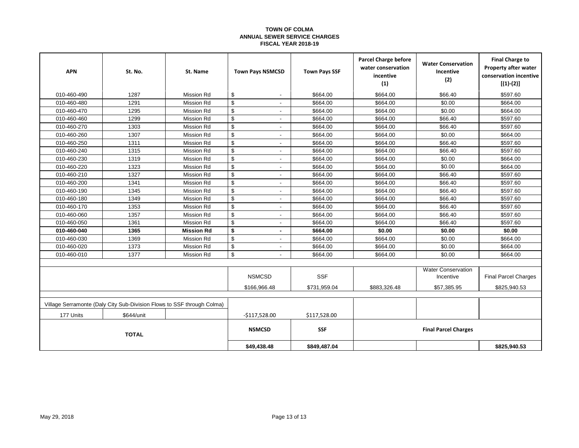| <b>APN</b>  | St. No.      | St. Name                                                               | <b>Town Pays NSMCSD</b>                    | <b>Town Pays SSF</b> | <b>Parcel Charge before</b><br>water conservation<br>incentive<br>(1) | <b>Water Conservation</b><br><b>Incentive</b><br>(2) | <b>Final Charge to</b><br>Property after water<br>conservation incentive<br>$[(1)-(2)]$ |
|-------------|--------------|------------------------------------------------------------------------|--------------------------------------------|----------------------|-----------------------------------------------------------------------|------------------------------------------------------|-----------------------------------------------------------------------------------------|
| 010-460-490 | 1287         | <b>Mission Rd</b>                                                      | \$<br>$\blacksquare$                       | \$664.00             | \$664.00                                                              | \$66.40                                              | \$597.60                                                                                |
| 010-460-480 | 1291         | <b>Mission Rd</b>                                                      | $\mathfrak{S}$<br>$\blacksquare$           | \$664.00             | \$664.00                                                              | \$0.00                                               | \$664.00                                                                                |
| 010-460-470 | 1295         | <b>Mission Rd</b>                                                      | $\mathfrak{S}$<br>$\overline{\phantom{0}}$ | \$664.00             | \$664.00                                                              | \$0.00                                               | \$664.00                                                                                |
| 010-460-460 | 1299         | Mission Rd                                                             | $\sqrt{2}$<br>$\blacksquare$               | \$664.00             | \$664.00                                                              | \$66.40                                              | \$597.60                                                                                |
| 010-460-270 | 1303         | <b>Mission Rd</b>                                                      | $\mathfrak{S}$<br>$\blacksquare$           | \$664.00             | \$664.00                                                              | \$66.40                                              | \$597.60                                                                                |
| 010-460-260 | 1307         | <b>Mission Rd</b>                                                      | $\mathfrak{S}$<br>$\blacksquare$           | \$664.00             | \$664.00                                                              | \$0.00                                               | \$664.00                                                                                |
| 010-460-250 | 1311         | <b>Mission Rd</b>                                                      | $\mathfrak{S}$<br>$\blacksquare$           | \$664.00             | \$664.00                                                              | \$66.40                                              | \$597.60                                                                                |
| 010-460-240 | 1315         | Mission Rd                                                             | $\sqrt{2}$<br>$\overline{\phantom{a}}$     | \$664.00             | \$664.00                                                              | \$66.40                                              | \$597.60                                                                                |
| 010-460-230 | 1319         | Mission Rd                                                             | $\sqrt[6]{\frac{1}{2}}$<br>$\blacksquare$  | \$664.00             | \$664.00                                                              | \$0.00                                               | \$664.00                                                                                |
| 010-460-220 | 1323         | <b>Mission Rd</b>                                                      | $\sqrt{2}$<br>$\blacksquare$               | \$664.00             | \$664.00                                                              | \$0.00                                               | \$664.00                                                                                |
| 010-460-210 | 1327         | <b>Mission Rd</b>                                                      | $\mathfrak{S}$<br>$\blacksquare$           | \$664.00             | \$664.00                                                              | \$66.40                                              | \$597.60                                                                                |
| 010-460-200 | 1341         | <b>Mission Rd</b>                                                      | $\sqrt{2}$<br>$\blacksquare$               | \$664.00             | \$664.00                                                              | \$66.40                                              | \$597.60                                                                                |
| 010-460-190 | 1345         | Mission Rd                                                             | $\sqrt[6]{\frac{1}{2}}$<br>$\blacksquare$  | \$664.00             | \$664.00                                                              | \$66.40                                              | \$597.60                                                                                |
| 010-460-180 | 1349         | <b>Mission Rd</b>                                                      | $\sqrt{2}$<br>$\blacksquare$               | \$664.00             | \$664.00                                                              | \$66.40                                              | \$597.60                                                                                |
| 010-460-170 | 1353         | <b>Mission Rd</b>                                                      | $\sqrt{2}$<br>$\blacksquare$               | \$664.00             | \$664.00                                                              | \$66.40                                              | \$597.60                                                                                |
| 010-460-060 | 1357         | <b>Mission Rd</b>                                                      | $\mathbf{\$}$<br>$\blacksquare$            | \$664.00             | \$664.00                                                              | \$66.40                                              | \$597.60                                                                                |
| 010-460-050 | 1361         | Mission Rd                                                             | $\mathfrak{s}$<br>$\blacksquare$           | \$664.00             | \$664.00                                                              | \$66.40                                              | \$597.60                                                                                |
| 010-460-040 | 1365         | <b>Mission Rd</b>                                                      | \$<br>$\blacksquare$                       | \$664.00             | \$0.00                                                                | \$0.00                                               | \$0.00                                                                                  |
| 010-460-030 | 1369         | <b>Mission Rd</b>                                                      | $\mathfrak{s}$<br>$\blacksquare$           | \$664.00             | \$664.00                                                              | \$0.00                                               | \$664.00                                                                                |
| 010-460-020 | 1373         | <b>Mission Rd</b>                                                      | $\sqrt{2}$<br>$\blacksquare$               | \$664.00             | \$664.00                                                              | \$0.00                                               | \$664.00                                                                                |
| 010-460-010 | 1377         | Mission Rd                                                             | $\sqrt{2}$<br>$\blacksquare$               | \$664.00             | \$664.00                                                              | \$0.00                                               | \$664.00                                                                                |
|             |              |                                                                        |                                            |                      |                                                                       |                                                      |                                                                                         |
|             |              |                                                                        | <b>NSMCSD</b>                              | <b>SSF</b>           |                                                                       | <b>Water Conservation</b><br>Incentive               | <b>Final Parcel Charges</b>                                                             |
|             |              |                                                                        | \$166,966.48                               | \$731,959.04         | \$883,326.48                                                          | \$57,385.95                                          | \$825,940.53                                                                            |
|             |              |                                                                        |                                            |                      |                                                                       |                                                      |                                                                                         |
|             |              | Village Serramonte (Daly City Sub-Division Flows to SSF through Colma) |                                            |                      |                                                                       |                                                      |                                                                                         |
| 177 Units   | \$644/unit   |                                                                        | $-$117,528.00$                             | \$117,528.00         |                                                                       |                                                      |                                                                                         |
|             | <b>TOTAL</b> |                                                                        | <b>NSMCSD</b>                              | <b>SSF</b>           |                                                                       | <b>Final Parcel Charges</b>                          |                                                                                         |
|             |              |                                                                        | \$49,438.48                                | \$849,487.04         |                                                                       |                                                      | \$825,940.53                                                                            |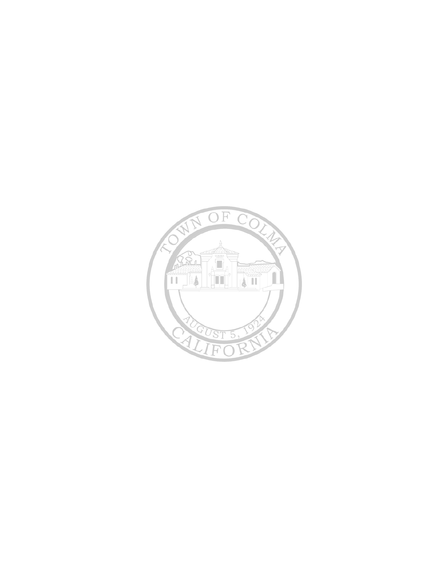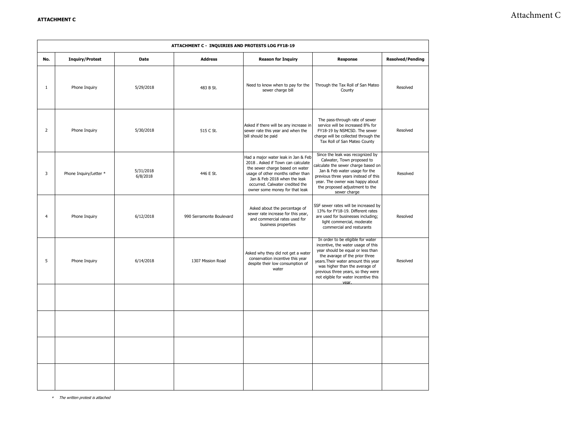## Attachment C

|                |                        |                       | ATTACHMENT C - INQUIRIES AND PROTESTS LOG FY18-19 |                                                                                                                                                                                                                                                        |                                                                                                                                                                                                                                                                                                               |                         |
|----------------|------------------------|-----------------------|---------------------------------------------------|--------------------------------------------------------------------------------------------------------------------------------------------------------------------------------------------------------------------------------------------------------|---------------------------------------------------------------------------------------------------------------------------------------------------------------------------------------------------------------------------------------------------------------------------------------------------------------|-------------------------|
| No.            | <b>Inquiry/Protest</b> | Date                  | <b>Address</b>                                    | <b>Reason for Inquiry</b>                                                                                                                                                                                                                              | Response                                                                                                                                                                                                                                                                                                      | <b>Resolved/Pending</b> |
| 1              | Phone Inquiry          | 5/29/2018             | 483 B St.                                         | Need to know when to pay for the<br>sewer charge bill                                                                                                                                                                                                  | Through the Tax Roll of San Mateo<br>County                                                                                                                                                                                                                                                                   | Resolved                |
| $\overline{2}$ | Phone Inquiry          | 5/30/2018             | 515 C St.                                         | Asked if there will be any increase in<br>sewer rate this year and when the<br>bill should be paid                                                                                                                                                     | The pass-through rate of sewer<br>service will be increased 8% for<br>FY18-19 by NSMCSD. The sewer<br>charge will be collected through the<br>Tax Roll of San Mateo County                                                                                                                                    | Resolved                |
| 3              | Phone Inquiry/Letter * | 5/31/2018<br>6/8/2018 | 446 E St.                                         | Had a major water leak in Jan & Feb<br>2018 . Asked if Town can calculate<br>the sewer charge based on water<br>usage of other months rather than<br>Jan & Feb 2018 when the leak<br>occurred. Calwater credited the<br>owner some money for that leak | Since the leak was recognized by<br>Calwater, Town proposed to<br>calculate the sewer charge based on<br>Jan & Feb water usage for the<br>previous three years instead of this<br>year. The owner was happy about<br>the proposed adjustment to the<br>sewer charge                                           | Resolved                |
| $\overline{4}$ | Phone Inquiry          | 6/12/2018             | 990 Serramonte Boulevard                          | Asked about the percentage of<br>sewer rate increase for this year,<br>and commercial rates used for<br>business properties                                                                                                                            | SSF sewer rates will be increased by<br>13% for FY18-19. Different rates<br>are used for businesses including;<br>light commercial, moderate<br>commercial and resturants                                                                                                                                     | Resolved                |
| 5              | Phone Inquiry          | 6/14/2018             | 1307 Mission Road                                 | Asked why they did not get a water<br>conservation incentive this year<br>despite their low consumption of<br>water                                                                                                                                    | In order to be eligible for water<br>incentive, the water usage of this<br>year should be equal or less than<br>the avarage of the prior three<br>years. Their water amount this year<br>was higher than the average of<br>previous three years, so they were<br>not elgible for water incentive this<br>vear | Resolved                |
|                |                        |                       |                                                   |                                                                                                                                                                                                                                                        |                                                                                                                                                                                                                                                                                                               |                         |
|                |                        |                       |                                                   |                                                                                                                                                                                                                                                        |                                                                                                                                                                                                                                                                                                               |                         |
|                |                        |                       |                                                   |                                                                                                                                                                                                                                                        |                                                                                                                                                                                                                                                                                                               |                         |
|                |                        |                       |                                                   |                                                                                                                                                                                                                                                        |                                                                                                                                                                                                                                                                                                               |                         |

\* The written protest is attached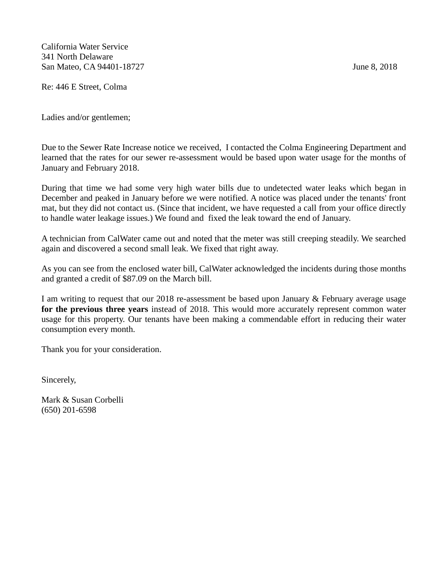California Water Service 341 North Delaware San Mateo, CA 94401-18727 June 8, 2018

Re: 446 E Street, Colma

Ladies and/or gentlemen;

Due to the Sewer Rate Increase notice we received, I contacted the Colma Engineering Department and learned that the rates for our sewer re-assessment would be based upon water usage for the months of January and February 2018.

During that time we had some very high water bills due to undetected water leaks which began in December and peaked in January before we were notified. A notice was placed under the tenants' front mat, but they did not contact us. (Since that incident, we have requested a call from your office directly to handle water leakage issues.) We found and fixed the leak toward the end of January.

A technician from CalWater came out and noted that the meter was still creeping steadily. We searched again and discovered a second small leak. We fixed that right away.

As you can see from the enclosed water bill, CalWater acknowledged the incidents during those months and granted a credit of \$87.09 on the March bill.

I am writing to request that our 2018 re-assessment be based upon January & February average usage **for the previous three years** instead of 2018. This would more accurately represent common water usage for this property. Our tenants have been making a commendable effort in reducing their water consumption every month.

Thank you for your consideration.

Sincerely,

Mark & Susan Corbelli (650) 201-6598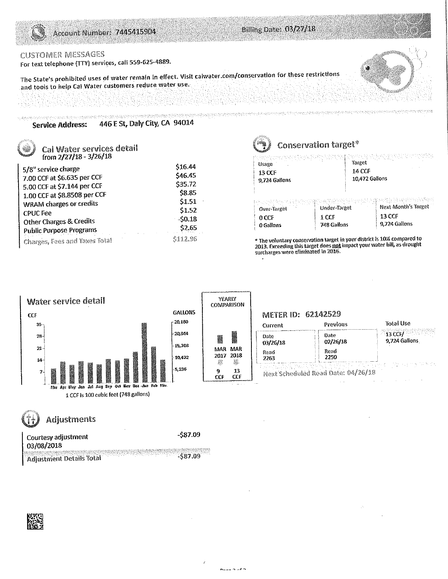

For text telephone (TTY) services, call 559-625-4889.

The State's prohibited uses of water remain in effect. Visit calwater.com/conservation for these restrictions

and tools to help Cal Water customers reduce water use.



andary the wareho

#### 446 E St, Daly City, CA 94014 **Service Address:**

| Cal Water services detail<br>from 2/27/18 - 3/26/18 |          |
|-----------------------------------------------------|----------|
| 5/8" service charge                                 | \$16.44  |
| 7.00 CCF at \$6.635 per CCF                         | 546.45   |
| 5.00 CCF at \$7.144 per CCF                         | \$35.72  |
| 1.00 CCF at \$8.8508 per CCF                        | \$8.85   |
| WRAM charges or credits                             | \$1.51   |
| <b>CPUC Fee</b>                                     | \$1.52   |
| <b>Other Charges &amp; Credits</b>                  | $-50.18$ |
| <b>Public Purpose Programs</b>                      | \$2.65   |
| Charges, Fees and Taxes Total                       | \$112.96 |

#### Conservation target\* 1554, 935 , 2007년 12월 7일 전 전쟁의 전쟁이 있습니다

| Usage         |  |
|---------------|--|
| 13 CCF        |  |
| 9.724 Gallons |  |

Target 14 CCF 10,472 Gallons

| 플라는 사람은 아프로 오른 문화가 있으면 그만든 사람은 언어가는 소문 지방이 아직 사람들이 아무리 아니라 사람이 아이다.<br>Over-Target | Under-Target | Next Month's Target |
|------------------------------------------------------------------------------------|--------------|---------------------|
| $\pm 0$ CCF.                                                                       | 1 CCF        | 13 CCF              |
| 0 Gallons                                                                          | 748 Gallons  | 9.724 Gallons       |

\* The voluntary conservation target in your district is 10% compared to The volumery conservation rarget in your ustite is 10% compared to<br>2013, Exceeding this target does not impact your water bill, as drought<br>surcharges were eliminated in 2016.



**Adjustments** 

| Courtesy adjustment                           | $-587.09$ |
|-----------------------------------------------|-----------|
| 03/08/2018<br><b>Adjustment Details Total</b> | \$87.09   |